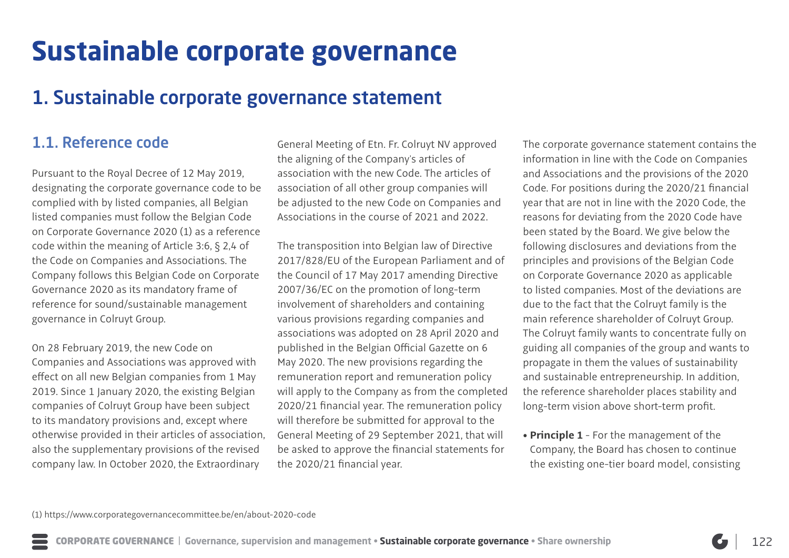# **Sustainable corporate governance**

# 1. Sustainable corporate governance statement

## 1.1. Reference code

Pursuant to the Royal Decree of 12 May 2019, designating the corporate governance code to be complied with by listed companies, all Belgian listed companies must follow the Belgian Code on Corporate Governance 2020 (1) as a reference code within the meaning of Article 3:6, § 2,4 of the Code on Companies and Associations. The Company follows this Belgian Code on Corporate Governance 2020 as its mandatory frame of reference for sound/sustainable management governance in Colruyt Group.

On 28 February 2019, the new Code on Companies and Associations was approved with effect on all new Belgian companies from 1 May 2019. Since 1 January 2020, the existing Belgian companies of Colruyt Group have been subject to its mandatory provisions and, except where otherwise provided in their articles of association, also the supplementary provisions of the revised company law. In October 2020, the Extraordinary

General Meeting of Etn. Fr. Colruyt NV approved the aligning of the Company's articles of association with the new Code. The articles of association of all other group companies will be adjusted to the new Code on Companies and Associations in the course of 2021 and 2022.

The transposition into Belgian law of Directive 2017/828/EU of the European Parliament and of the Council of 17 May 2017 amending Directive 2007/36/EC on the promotion of long-term involvement of shareholders and containing various provisions regarding companies and associations was adopted on 28 April 2020 and published in the Belgian Official Gazette on 6 May 2020. The new provisions regarding the remuneration report and remuneration policy will apply to the Company as from the completed 2020/21 financial year. The remuneration policy will therefore be submitted for approval to the General Meeting of 29 September 2021, that will be asked to approve the financial statements for the 2020/21 financial year.

The corporate governance statement contains the information in line with the Code on Companies and Associations and the provisions of the 2020 Code. For positions during the 2020/21 financial year that are not in line with the 2020 Code, the reasons for deviating from the 2020 Code have been stated by the Board. We give below the following disclosures and deviations from the principles and provisions of the Belgian Code on Corporate Governance 2020 as applicable to listed companies. Most of the deviations are due to the fact that the Colruyt family is the main reference shareholder of Colruyt Group. The Colruyt family wants to concentrate fully on guiding all companies of the group and wants to propagate in them the values of sustainability and sustainable entrepreneurship. In addition, the reference shareholder places stability and long-term vision above short-term profit.

• **Principle 1** - For the management of the Company, the Board has chosen to continue the existing one-tier board model, consisting

(1) https://www.corporategovernancecommittee.be/en/about-2020-code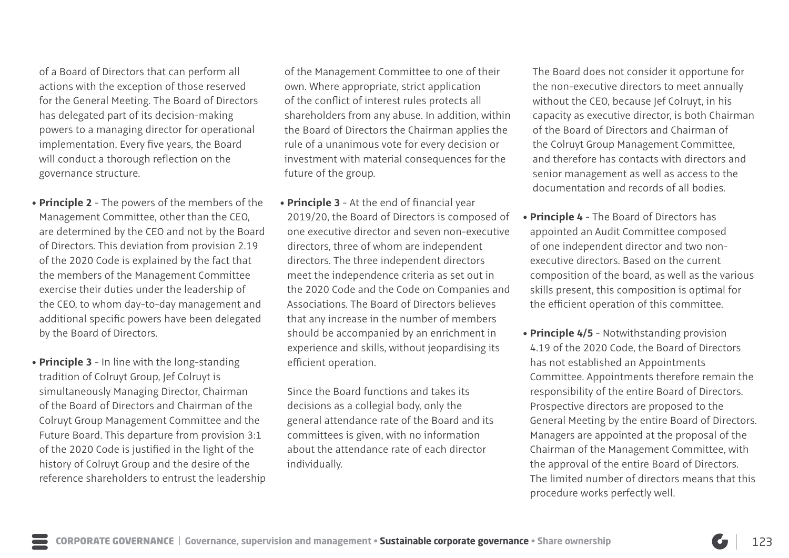of a Board of Directors that can perform all actions with the exception of those reserved for the General Meeting. The Board of Directors has delegated part of its decision-making powers to a managing director for operational implementation. Every five years, the Board will conduct a thorough reflection on the governance structure.

- **Principle 2** The powers of the members of the Management Committee, other than the CEO, are determined by the CEO and not by the Board of Directors. This deviation from provision 2.19 of the 2020 Code is explained by the fact that the members of the Management Committee exercise their duties under the leadership of the CEO, to whom day-to-day management and additional specific powers have been delegated by the Board of Directors.
- **Principle 3** In line with the long-standing tradition of Colruyt Group, Jef Colruyt is simultaneously Managing Director, Chairman of the Board of Directors and Chairman of the Colruyt Group Management Committee and the Future Board. This departure from provision 3:1 of the 2020 Code is justified in the light of the history of Colruyt Group and the desire of the reference shareholders to entrust the leadership

of the Management Committee to one of their own. Where appropriate, strict application of the conflict of interest rules protects all shareholders from any abuse. In addition, within the Board of Directors the Chairman applies the rule of a unanimous vote for every decision or investment with material consequences for the future of the group.

 • **Principle 3** - At the end of financial year 2019/20, the Board of Directors is composed of one executive director and seven non-executive directors, three of whom are independent directors. The three independent directors meet the independence criteria as set out in the 2020 Code and the Code on Companies and Associations. The Board of Directors believes that any increase in the number of members should be accompanied by an enrichment in experience and skills, without jeopardising its efficient operation.

Since the Board functions and takes its decisions as a collegial body, only the general attendance rate of the Board and its committees is given, with no information about the attendance rate of each director individually.

The Board does not consider it opportune for the non-executive directors to meet annually without the CEO, because Jef Colruyt, in his capacity as executive director, is both Chairman of the Board of Directors and Chairman of the Colruyt Group Management Committee, and therefore has contacts with directors and senior management as well as access to the documentation and records of all bodies.

- **Principle 4** The Board of Directors has appointed an Audit Committee composed of one independent director and two nonexecutive directors. Based on the current composition of the board, as well as the various skills present, this composition is optimal for the efficient operation of this committee.
- **Principle 4/5** Notwithstanding provision 4.19 of the 2020 Code, the Board of Directors has not established an Appointments Committee. Appointments therefore remain the responsibility of the entire Board of Directors. Prospective directors are proposed to the General Meeting by the entire Board of Directors. Managers are appointed at the proposal of the Chairman of the Management Committee, with the approval of the entire Board of Directors. The limited number of directors means that this procedure works perfectly well.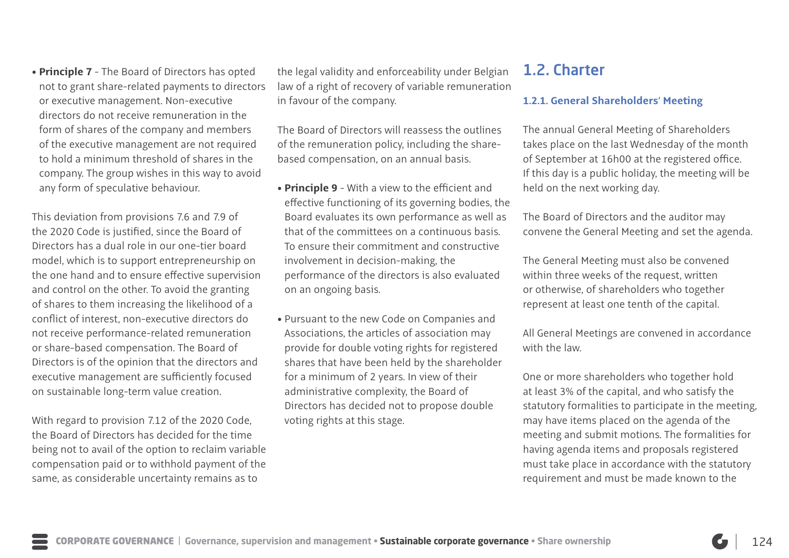• **Principle 7** - The Board of Directors has opted not to grant share-related payments to directors or executive management. Non-executive directors do not receive remuneration in the form of shares of the company and members of the executive management are not required to hold a minimum threshold of shares in the company. The group wishes in this way to avoid any form of speculative behaviour.

This deviation from provisions 7.6 and 7.9 of the 2020 Code is justified, since the Board of Directors has a dual role in our one-tier board model, which is to support entrepreneurship on the one hand and to ensure effective supervision and control on the other. To avoid the granting of shares to them increasing the likelihood of a conflict of interest, non-executive directors do not receive performance-related remuneration or share-based compensation. The Board of Directors is of the opinion that the directors and executive management are sufficiently focused on sustainable long-term value creation.

With regard to provision 7.12 of the 2020 Code, the Board of Directors has decided for the time being not to avail of the option to reclaim variable compensation paid or to withhold payment of the same, as considerable uncertainty remains as to

the legal validity and enforceability under Belgian law of a right of recovery of variable remuneration in favour of the company.

The Board of Directors will reassess the outlines of the remuneration policy, including the sharebased compensation, on an annual basis.

- **Principle 9** With a view to the efficient and effective functioning of its governing bodies, the Board evaluates its own performance as well as that of the committees on a continuous basis. To ensure their commitment and constructive involvement in decision-making, the performance of the directors is also evaluated on an ongoing basis.
- Pursuant to the new Code on Companies and Associations, the articles of association may provide for double voting rights for registered shares that have been held by the shareholder for a minimum of 2 years. In view of their administrative complexity, the Board of Directors has decided not to propose double voting rights at this stage.

## 1.2. Charter

### **1.2.1. General Shareholders' Meeting**

The annual General Meeting of Shareholders takes place on the last Wednesday of the month of September at 16h00 at the registered office. If this day is a public holiday, the meeting will be held on the next working day.

The Board of Directors and the auditor may convene the General Meeting and set the agenda.

The General Meeting must also be convened within three weeks of the request, written or otherwise, of shareholders who together represent at least one tenth of the capital.

All General Meetings are convened in accordance with the law

One or more shareholders who together hold at least 3% of the capital, and who satisfy the statutory formalities to participate in the meeting, may have items placed on the agenda of the meeting and submit motions. The formalities for having agenda items and proposals registered must take place in accordance with the statutory requirement and must be made known to the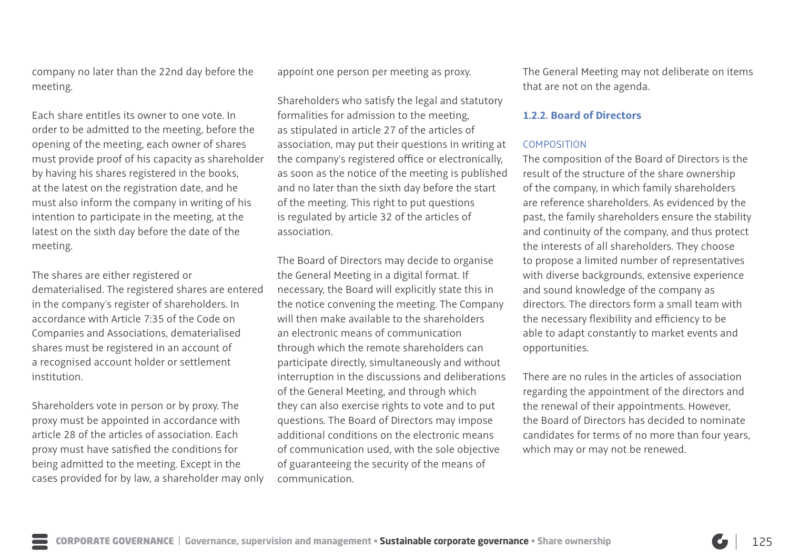company no later than the 22nd day before the meeting.

Each share entitles its owner to one vote. In order to be admitted to the meeting, before the opening of the meeting, each owner of shares must provide proof of his capacity as shareholder by having his shares registered in the books, at the latest on the registration date, and he must also inform the company in writing of his intention to participate in the meeting, at the latest on the sixth day before the date of the meeting.

The shares are either registered or dematerialised. The registered shares are entered in the company's register of shareholders. In accordance with Article 7:35 of the Code on Companies and Associations, dematerialised shares must be registered in an account of a recognised account holder or settlement institution.

Shareholders vote in person or by proxy. The proxy must be appointed in accordance with article 28 of the articles of association. Each proxy must have satisfied the conditions for being admitted to the meeting. Except in the cases provided for by law, a shareholder may only appoint one person per meeting as proxy.

Shareholders who satisfy the legal and statutory formalities for admission to the meeting, as stipulated in article 27 of the articles of association, may put their questions in writing at the company's registered office or electronically, as soon as the notice of the meeting is published and no later than the sixth day before the start of the meeting. This right to put questions is regulated by article 32 of the articles of association.

The Board of Directors may decide to organise the General Meeting in a digital format. If necessary, the Board will explicitly state this in the notice convening the meeting. The Company will then make available to the shareholders an electronic means of communication through which the remote shareholders can participate directly, simultaneously and without interruption in the discussions and deliberations of the General Meeting, and through which they can also exercise rights to vote and to put questions. The Board of Directors may impose additional conditions on the electronic means of communication used, with the sole objective of guaranteeing the security of the means of communication.

The General Meeting may not deliberate on items that are not on the agenda.

### **1.2.2. Board of Directors**

### **COMPOSITION**

The composition of the Board of Directors is the result of the structure of the share ownership of the company, in which family shareholders are reference shareholders. As evidenced by the past, the family shareholders ensure the stability and continuity of the company, and thus protect the interests of all shareholders. They choose to propose a limited number of representatives with diverse backgrounds, extensive experience and sound knowledge of the company as directors. The directors form a small team with the necessary flexibility and efficiency to be able to adapt constantly to market events and opportunities.

There are no rules in the articles of association regarding the appointment of the directors and the renewal of their appointments. However, the Board of Directors has decided to nominate candidates for terms of no more than four years, which may or may not be renewed.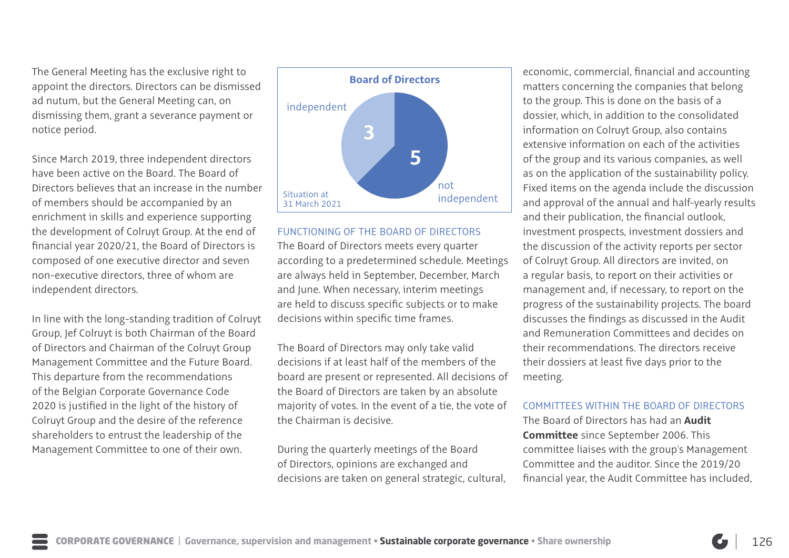The General Meeting has the exclusive right to appoint the directors. Directors can be dismissed ad nutum, but the General Meeting can, on dismissing them, grant a severance payment or notice period.

Since March 2019, three independent directors have been active on the Board. The Board of Directors believes that an increase in the number of members should be accompanied by an enrichment in skills and experience supporting the development of Colruyt Group. At the end of financial year 2020/21, the Board of Directors is composed of one executive director and seven non-executive directors, three of whom are independent directors.

In line with the long-standing tradition of Colruyt Group, Jef Colruyt is both Chairman of the Board of Directors and Chairman of the Colruyt Group Management Committee and the Future Board. This departure from the recommendations of the Belgian Corporate Governance Code 2020 is justified in the light of the history of Colruyt Group and the desire of the reference shareholders to entrust the leadership of the Management Committee to one of their own.



FUNCTIONING OF THE BOARD OF DIRECTORS The Board of Directors meets every quarter according to a predetermined schedule. Meetings are always held in September, December, March and June. When necessary, interim meetings are held to discuss specific subjects or to make decisions within specific time frames.

The Board of Directors may only take valid decisions if at least half of the members of the board are present or represented. All decisions of the Board of Directors are taken by an absolute majority of votes. In the event of a tie, the vote of the Chairman is decisive.

During the quarterly meetings of the Board of Directors, opinions are exchanged and decisions are taken on general strategic, cultural,

economic, commercial, financial and accounting matters concerning the companies that belong to the group. This is done on the basis of a dossier, which, in addition to the consolidated information on Colruyt Group, also contains extensive information on each of the activities of the group and its various companies, as well as on the application of the sustainability policy. Fixed items on the agenda include the discussion and approval of the annual and half-yearly results and their publication, the financial outlook, investment prospects, investment dossiers and the discussion of the activity reports per sector of Colruyt Group. All directors are invited, on a regular basis, to report on their activities or management and, if necessary, to report on the progress of the sustainability projects. The board discusses the findings as discussed in the Audit and Remuneration Committees and decides on their recommendations. The directors receive their dossiers at least five days prior to the meeting.

### COMMITTEES WITHIN THE BOARD OF DIRECTORS

The Board of Directors has had an **Audit Committee** since September 2006. This committee liaises with the group's Management Committee and the auditor. Since the 2019/20 financial year, the Audit Committee has included,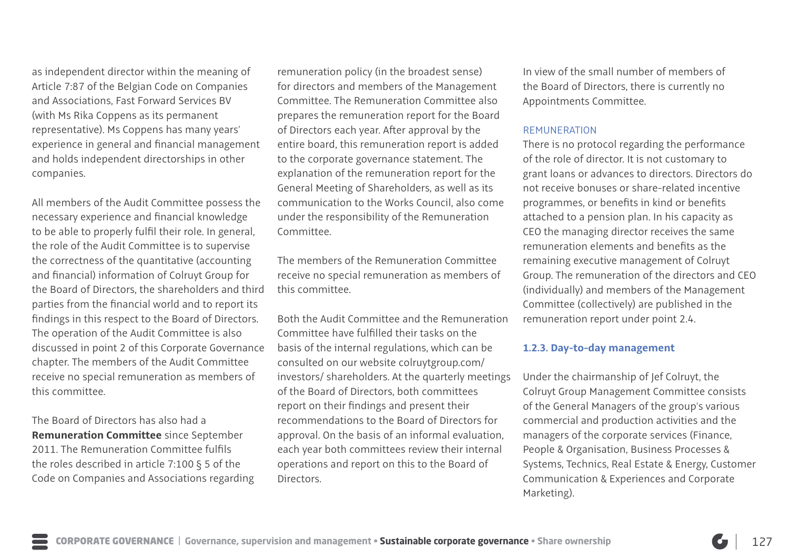as independent director within the meaning of Article 7:87 of the Belgian Code on Companies and Associations, Fast Forward Services BV (with Ms Rika Coppens as its permanent representative). Ms Coppens has many years' experience in general and financial management and holds independent directorships in other companies.

All members of the Audit Committee possess the necessary experience and financial knowledge to be able to properly fulfil their role. In general, the role of the Audit Committee is to supervise the correctness of the quantitative (accounting and financial) information of Colruyt Group for the Board of Directors, the shareholders and third parties from the financial world and to report its findings in this respect to the Board of Directors. The operation of the Audit Committee is also discussed in point 2 of this Corporate Governance chapter. The members of the Audit Committee receive no special remuneration as members of this committee.

The Board of Directors has also had a **Remuneration Committee** since September 2011. The Remuneration Committee fulfils the roles described in article 7:100 § 5 of the Code on Companies and Associations regarding remuneration policy (in the broadest sense) for directors and members of the Management Committee. The Remuneration Committee also prepares the remuneration report for the Board of Directors each year. After approval by the entire board, this remuneration report is added to the corporate governance statement. The explanation of the remuneration report for the General Meeting of Shareholders, as well as its communication to the Works Council, also come under the responsibility of the Remuneration Committee.

The members of the Remuneration Committee receive no special remuneration as members of this committee.

Both the Audit Committee and the Remuneration Committee have fulfilled their tasks on the basis of the internal regulations, which can be consulted on our website colruytgroup.com/ investors/ shareholders. At the quarterly meetings of the Board of Directors, both committees report on their findings and present their recommendations to the Board of Directors for approval. On the basis of an informal evaluation, each year both committees review their internal operations and report on this to the Board of Directors.

In view of the small number of members of the Board of Directors, there is currently no Appointments Committee.

#### REMUNERATION

There is no protocol regarding the performance of the role of director. It is not customary to grant loans or advances to directors. Directors do not receive bonuses or share-related incentive programmes, or benefits in kind or benefits attached to a pension plan. In his capacity as CEO the managing director receives the same remuneration elements and benefits as the remaining executive management of Colruyt Group. The remuneration of the directors and CEO (individually) and members of the Management Committee (collectively) are published in the remuneration report under point 2.4.

### **1.2.3. Day-to-day management**

Under the chairmanship of Jef Colruyt, the Colruyt Group Management Committee consists of the General Managers of the group's various commercial and production activities and the managers of the corporate services (Finance, People & Organisation, Business Processes & Systems, Technics, Real Estate & Energy, Customer Communication & Experiences and Corporate Marketing).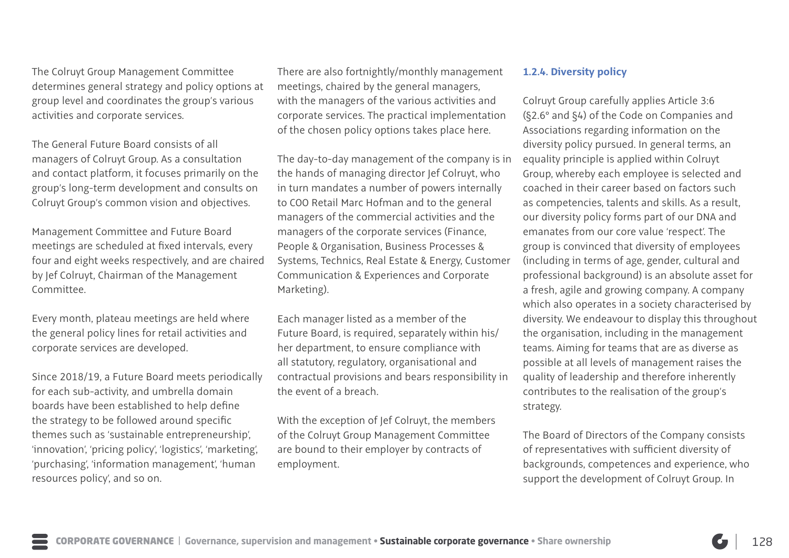The Colruyt Group Management Committee determines general strategy and policy options at group level and coordinates the group's various activities and corporate services.

The General Future Board consists of all managers of Colruyt Group. As a consultation and contact platform, it focuses primarily on the group's long-term development and consults on Colruyt Group's common vision and objectives.

Management Committee and Future Board meetings are scheduled at fixed intervals, every four and eight weeks respectively, and are chaired by Jef Colruyt, Chairman of the Management Committee.

Every month, plateau meetings are held where the general policy lines for retail activities and corporate services are developed.

Since 2018/19, a Future Board meets periodically for each sub-activity, and umbrella domain boards have been established to help define the strategy to be followed around specific themes such as 'sustainable entrepreneurship', 'innovation', 'pricing policy', 'logistics', 'marketing', 'purchasing', 'information management', 'human resources policy', and so on.

There are also fortnightly/monthly management meetings, chaired by the general managers, with the managers of the various activities and corporate services. The practical implementation of the chosen policy options takes place here.

The day-to-day management of the company is in the hands of managing director Jef Colruyt, who in turn mandates a number of powers internally to COO Retail Marc Hofman and to the general managers of the commercial activities and the managers of the corporate services (Finance, People & Organisation, Business Processes & Systems, Technics, Real Estate & Energy, Customer Communication & Experiences and Corporate Marketing).

Each manager listed as a member of the Future Board, is required, separately within his/ her department, to ensure compliance with all statutory, regulatory, organisational and contractual provisions and bears responsibility in the event of a breach.

With the exception of Jef Colruyt, the members of the Colruyt Group Management Committee are bound to their employer by contracts of employment.

### **1.2.4. Diversity policy**

Colruyt Group carefully applies Article 3:6 (§2.6° and §4) of the Code on Companies and Associations regarding information on the diversity policy pursued. In general terms, an equality principle is applied within Colruyt Group, whereby each employee is selected and coached in their career based on factors such as competencies, talents and skills. As a result, our diversity policy forms part of our DNA and emanates from our core value 'respect'. The group is convinced that diversity of employees (including in terms of age, gender, cultural and professional background) is an absolute asset for a fresh, agile and growing company. A company which also operates in a society characterised by diversity. We endeavour to display this throughout the organisation, including in the management teams. Aiming for teams that are as diverse as possible at all levels of management raises the quality of leadership and therefore inherently contributes to the realisation of the group's strategy.

The Board of Directors of the Company consists of representatives with sufficient diversity of backgrounds, competences and experience, who support the development of Colruyt Group. In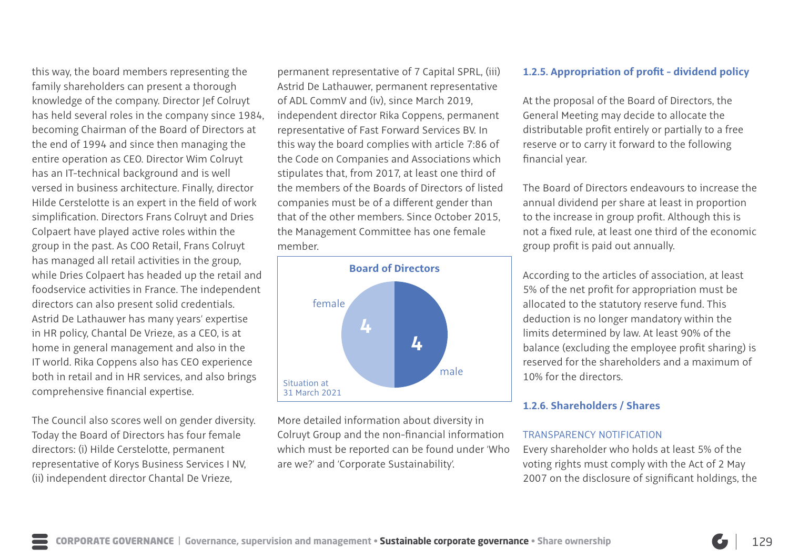this way, the board members representing the family shareholders can present a thorough knowledge of the company. Director Jef Colruyt has held several roles in the company since 1984, becoming Chairman of the Board of Directors at the end of 1994 and since then managing the entire operation as CEO. Director Wim Colruyt has an IT-technical background and is well versed in business architecture. Finally, director Hilde Cerstelotte is an expert in the field of work simplification. Directors Frans Colruyt and Dries Colpaert have played active roles within the group in the past. As COO Retail, Frans Colruyt has managed all retail activities in the group, while Dries Colpaert has headed up the retail and foodservice activities in France. The independent directors can also present solid credentials. Astrid De Lathauwer has many years' expertise in HR policy, Chantal De Vrieze, as a CEO, is at home in general management and also in the IT world. Rika Coppens also has CEO experience both in retail and in HR services, and also brings comprehensive financial expertise.

The Council also scores well on gender diversity. Today the Board of Directors has four female directors: (i) Hilde Cerstelotte, permanent representative of Korys Business Services I NV, (ii) independent director Chantal De Vrieze,

permanent representative of 7 Capital SPRL, (iii) Astrid De Lathauwer, permanent representative of ADL CommV and (iv), since March 2019, independent director Rika Coppens, permanent representative of Fast Forward Services BV. In this way the board complies with article 7:86 of the Code on Companies and Associations which stipulates that, from 2017, at least one third of the members of the Boards of Directors of listed companies must be of a different gender than that of the other members. Since October 2015, the Management Committee has one female member.



More detailed information about diversity in Colruyt Group and the non-financial information which must be reported can be found under 'Who are we?' and 'Corporate Sustainability'.

### **1.2.5. Appropriation of profit - dividend policy**

At the proposal of the Board of Directors, the General Meeting may decide to allocate the distributable profit entirely or partially to a free reserve or to carry it forward to the following financial year.

The Board of Directors endeavours to increase the annual dividend per share at least in proportion to the increase in group profit. Although this is not a fixed rule, at least one third of the economic group profit is paid out annually.

According to the articles of association, at least 5% of the net profit for appropriation must be allocated to the statutory reserve fund. This deduction is no longer mandatory within the limits determined by law. At least 90% of the balance (excluding the employee profit sharing) is reserved for the shareholders and a maximum of 10% for the directors.

### **1.2.6. Shareholders / Shares**

#### TRANSPARENCY NOTIFICATION

Every shareholder who holds at least 5% of the voting rights must comply with the Act of 2 May 2007 on the disclosure of significant holdings, the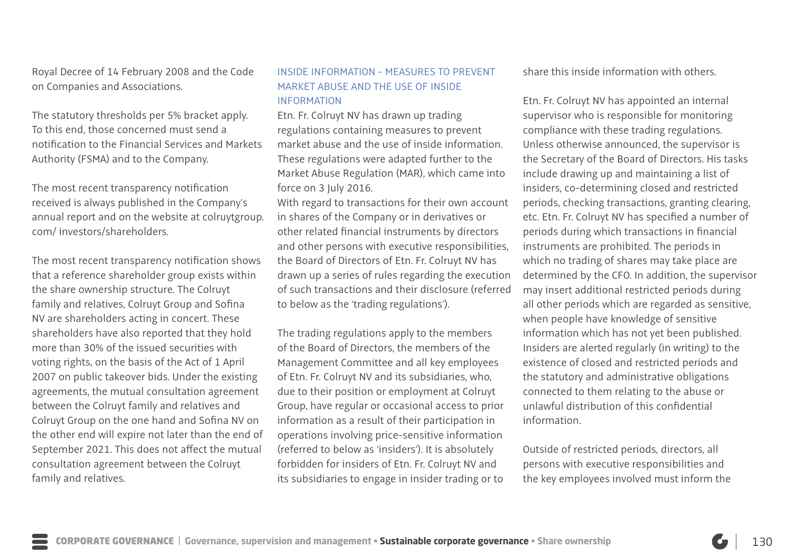Royal Decree of 14 February 2008 and the Code on Companies and Associations.

The statutory thresholds per 5% bracket apply. To this end, those concerned must send a notification to the Financial Services and Markets Authority (FSMA) and to the Company.

The most recent transparency notification received is always published in the Company's annual report and on the website at colruytgroup. com/ investors/shareholders.

The most recent transparency notification shows that a reference shareholder group exists within the share ownership structure. The Colruyt family and relatives, Colruyt Group and Sofina NV are shareholders acting in concert. These shareholders have also reported that they hold more than 30% of the issued securities with voting rights, on the basis of the Act of 1 April 2007 on public takeover bids. Under the existing agreements, the mutual consultation agreement between the Colruyt family and relatives and Colruyt Group on the one hand and Sofina NV on the other end will expire not later than the end of September 2021. This does not affect the mutual consultation agreement between the Colruyt family and relatives.

### INSIDE INFORMATION - MEASURES TO PREVENT MARKET ABUSE AND THE USE OF INSIDE INFORMATION

Etn. Fr. Colruyt NV has drawn up trading regulations containing measures to prevent market abuse and the use of inside information. These regulations were adapted further to the Market Abuse Regulation (MAR), which came into force on 3 July 2016.

With regard to transactions for their own account in shares of the Company or in derivatives or other related financial instruments by directors and other persons with executive responsibilities, the Board of Directors of Etn. Fr. Colruyt NV has drawn up a series of rules regarding the execution of such transactions and their disclosure (referred to below as the 'trading regulations').

The trading regulations apply to the members of the Board of Directors, the members of the Management Committee and all key employees of Etn. Fr. Colruyt NV and its subsidiaries, who, due to their position or employment at Colruyt Group, have regular or occasional access to prior information as a result of their participation in operations involving price-sensitive information (referred to below as 'insiders'). It is absolutely forbidden for insiders of Etn. Fr. Colruyt NV and its subsidiaries to engage in insider trading or to

share this inside information with others.

Etn. Fr. Colruyt NV has appointed an internal supervisor who is responsible for monitoring compliance with these trading regulations. Unless otherwise announced, the supervisor is the Secretary of the Board of Directors. His tasks include drawing up and maintaining a list of insiders, co-determining closed and restricted periods, checking transactions, granting clearing, etc. Etn. Fr. Colruyt NV has specified a number of periods during which transactions in financial instruments are prohibited. The periods in which no trading of shares may take place are determined by the CFO. In addition, the supervisor may insert additional restricted periods during all other periods which are regarded as sensitive, when people have knowledge of sensitive information which has not yet been published. Insiders are alerted regularly (in writing) to the existence of closed and restricted periods and the statutory and administrative obligations connected to them relating to the abuse or unlawful distribution of this confidential information.

Outside of restricted periods, directors, all persons with executive responsibilities and the key employees involved must inform the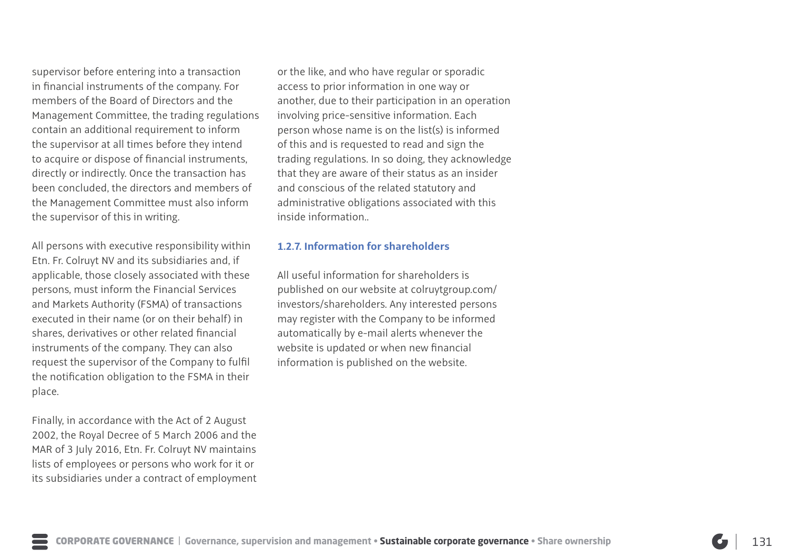supervisor before entering into a transaction in financial instruments of the company. For members of the Board of Directors and the Management Committee, the trading regulations contain an additional requirement to inform the supervisor at all times before they intend to acquire or dispose of financial instruments, directly or indirectly. Once the transaction has been concluded, the directors and members of the Management Committee must also inform the supervisor of this in writing.

All persons with executive responsibility within Etn. Fr. Colruyt NV and its subsidiaries and, if applicable, those closely associated with these persons, must inform the Financial Services and Markets Authority (FSMA) of transactions executed in their name (or on their behalf) in shares, derivatives or other related financial instruments of the company. They can also request the supervisor of the Company to fulfil the notification obligation to the FSMA in their place.

Finally, in accordance with the Act of 2 August 2002, the Royal Decree of 5 March 2006 and the MAR of 3 July 2016, Etn. Fr. Colruyt NV maintains lists of employees or persons who work for it or its subsidiaries under a contract of employment or the like, and who have regular or sporadic access to prior information in one way or another, due to their participation in an operation involving price-sensitive information. Each person whose name is on the list(s) is informed of this and is requested to read and sign the trading regulations. In so doing, they acknowledge that they are aware of their status as an insider and conscious of the related statutory and administrative obligations associated with this inside information..

### **1.2.7. Information for shareholders**

All useful information for shareholders is published on our website at colruytgroup.com/ investors/shareholders. Any interested persons may register with the Company to be informed automatically by e-mail alerts whenever the website is updated or when new financial information is published on the website.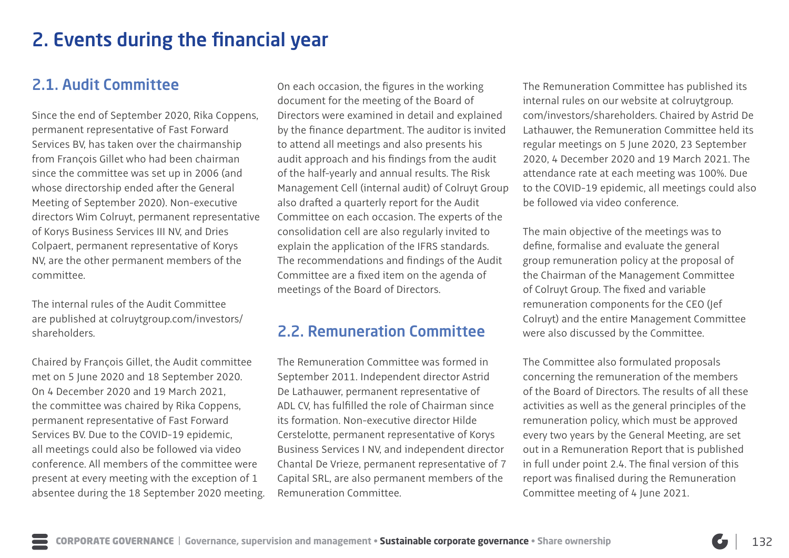# 2. Events during the financial year

# 2.1. Audit Committee

Since the end of September 2020, Rika Coppens, permanent representative of Fast Forward Services BV, has taken over the chairmanship from François Gillet who had been chairman since the committee was set up in 2006 (and whose directorship ended after the General Meeting of September 2020). Non-executive directors Wim Colruyt, permanent representative of Korys Business Services III NV, and Dries Colpaert, permanent representative of Korys NV, are the other permanent members of the committee.

The internal rules of the Audit Committee are published at colruytgroup.com/investors/ shareholders.

Chaired by François Gillet, the Audit committee met on 5 June 2020 and 18 September 2020. On 4 December 2020 and 19 March 2021, the committee was chaired by Rika Coppens, permanent representative of Fast Forward Services BV. Due to the COVID-19 epidemic, all meetings could also be followed via video conference. All members of the committee were present at every meeting with the exception of 1 absentee during the 18 September 2020 meeting. On each occasion, the figures in the working document for the meeting of the Board of Directors were examined in detail and explained by the finance department. The auditor is invited to attend all meetings and also presents his audit approach and his findings from the audit of the half-yearly and annual results. The Risk Management Cell (internal audit) of Colruyt Group also drafted a quarterly report for the Audit Committee on each occasion. The experts of the consolidation cell are also regularly invited to explain the application of the IFRS standards. The recommendations and findings of the Audit Committee are a fixed item on the agenda of meetings of the Board of Directors.

## 2.2. Remuneration Committee

The Remuneration Committee was formed in September 2011. Independent director Astrid De Lathauwer, permanent representative of ADL CV, has fulfilled the role of Chairman since its formation. Non-executive director Hilde Cerstelotte, permanent representative of Korys Business Services I NV, and independent director Chantal De Vrieze, permanent representative of 7 Capital SRL, are also permanent members of the Remuneration Committee.

The Remuneration Committee has published its internal rules on our website at colruytgroup. com/investors/shareholders. Chaired by Astrid De Lathauwer, the Remuneration Committee held its regular meetings on 5 June 2020, 23 September 2020, 4 December 2020 and 19 March 2021. The attendance rate at each meeting was 100%. Due to the COVID-19 epidemic, all meetings could also be followed via video conference.

The main objective of the meetings was to define, formalise and evaluate the general group remuneration policy at the proposal of the Chairman of the Management Committee of Colruyt Group. The fixed and variable remuneration components for the CEO (Jef Colruyt) and the entire Management Committee were also discussed by the Committee.

The Committee also formulated proposals concerning the remuneration of the members of the Board of Directors. The results of all these activities as well as the general principles of the remuneration policy, which must be approved every two years by the General Meeting, are set out in a Remuneration Report that is published in full under point 2.4. The final version of this report was finalised during the Remuneration Committee meeting of 4 June 2021.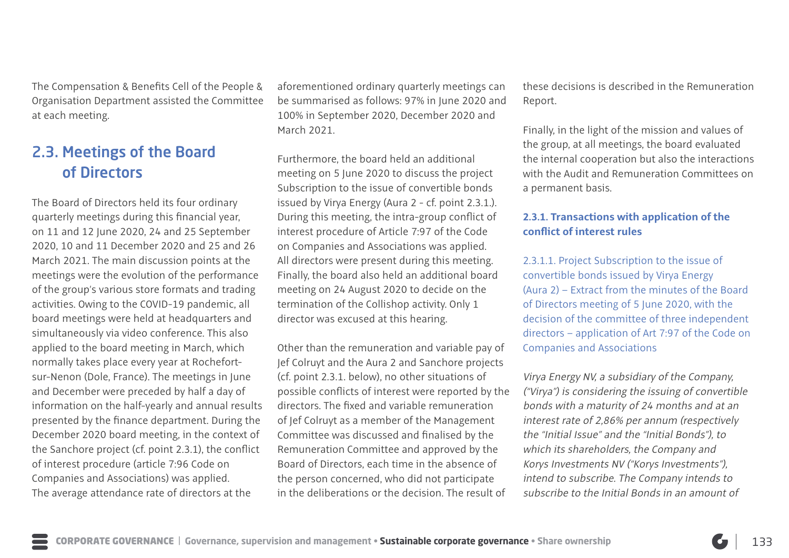The Compensation & Benefits Cell of the People & Organisation Department assisted the Committee at each meeting.

# 2.3. Meetings of the Board of Directors

The Board of Directors held its four ordinary quarterly meetings during this financial year, on 11 and 12 June 2020, 24 and 25 September 2020, 10 and 11 December 2020 and 25 and 26 March 2021. The main discussion points at the meetings were the evolution of the performance of the group's various store formats and trading activities. Owing to the COVID-19 pandemic, all board meetings were held at headquarters and simultaneously via video conference. This also applied to the board meeting in March, which normally takes place every year at Rochefortsur-Nenon (Dole, France). The meetings in June and December were preceded by half a day of information on the half-yearly and annual results presented by the finance department. During the December 2020 board meeting, in the context of the Sanchore project (cf. point 2.3.1), the conflict of interest procedure (article 7:96 Code on Companies and Associations) was applied. The average attendance rate of directors at the

aforementioned ordinary quarterly meetings can be summarised as follows: 97% in June 2020 and 100% in September 2020, December 2020 and March 2021.

Furthermore, the board held an additional meeting on 5 June 2020 to discuss the project Subscription to the issue of convertible bonds issued by Virya Energy (Aura 2 - cf. point 2.3.1.). During this meeting, the intra-group conflict of interest procedure of Article 7:97 of the Code on Companies and Associations was applied. All directors were present during this meeting. Finally, the board also held an additional board meeting on 24 August 2020 to decide on the termination of the Collishop activity. Only 1 director was excused at this hearing.

Other than the remuneration and variable pay of Jef Colruyt and the Aura 2 and Sanchore projects (cf. point 2.3.1. below), no other situations of possible conflicts of interest were reported by the directors. The fixed and variable remuneration of Jef Colruyt as a member of the Management Committee was discussed and finalised by the Remuneration Committee and approved by the Board of Directors, each time in the absence of the person concerned, who did not participate in the deliberations or the decision. The result of

these decisions is described in the Remuneration Report.

Finally, in the light of the mission and values of the group, at all meetings, the board evaluated the internal cooperation but also the interactions with the Audit and Remuneration Committees on a permanent basis.

## **2.3.1. Transactions with application of the conflict of interest rules**

2.3.1.1. Project Subscription to the issue of convertible bonds issued by Virya Energy (Aura 2) – Extract from the minutes of the Board of Directors meeting of 5 June 2020, with the decision of the committee of three independent directors – application of Art 7:97 of the Code on Companies and Associations

Virya Energy NV, a subsidiary of the Company, ("Virya") is considering the issuing of convertible bonds with a maturity of 24 months and at an interest rate of 2,86% per annum (respectively the "Initial Issue" and the "Initial Bonds"), to which its shareholders, the Company and Korys Investments NV ("Korys Investments"), intend to subscribe. The Company intends to subscribe to the Initial Bonds in an amount of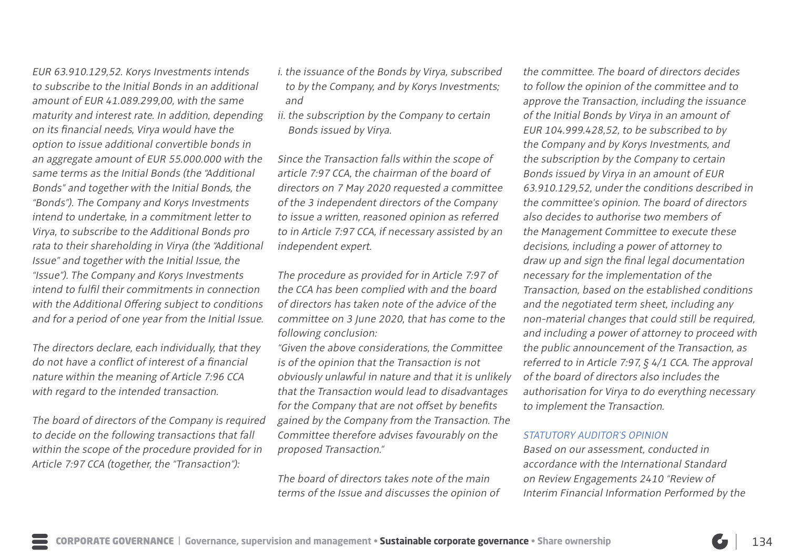EUR 63.910.129,52. Korys Investments intends to subscribe to the Initial Bonds in an additional amount of EUR 41.089.299,00, with the same maturity and interest rate. In addition, depending on its financial needs, Virya would have the option to issue additional convertible bonds in an aggregate amount of EUR 55.000.000 with the same terms as the Initial Bonds (the "Additional Bonds" and together with the Initial Bonds, the "Bonds"). The Company and Korys Investments intend to undertake, in a commitment letter to Virya, to subscribe to the Additional Bonds pro rata to their shareholding in Virya (the "Additional Issue" and together with the Initial Issue, the "Issue"). The Company and Korys Investments intend to fulfil their commitments in connection with the Additional Offering subject to conditions and for a period of one year from the Initial Issue.

The directors declare, each individually, that they do not have a conflict of interest of a financial nature within the meaning of Article 7:96 CCA with regard to the intended transaction.

The board of directors of the Company is required to decide on the following transactions that fall within the scope of the procedure provided for in Article 7:97 CCA (together, the "Transaction"):

- i. the issuance of the Bonds by Virya, subscribed to by the Company, and by Korys Investments; and
- ii. the subscription by the Company to certain Bonds issued by Virya.

Since the Transaction falls within the scope of article 7:97 CCA, the chairman of the board of directors on 7 May 2020 requested a committee of the 3 independent directors of the Company to issue a written, reasoned opinion as referred to in Article 7:97 CCA, if necessary assisted by an independent expert.

The procedure as provided for in Article 7:97 of the CCA has been complied with and the board of directors has taken note of the advice of the committee on 3 June 2020, that has come to the following conclusion:

"Given the above considerations, the Committee is of the opinion that the Transaction is not obviously unlawful in nature and that it is unlikely that the Transaction would lead to disadvantages for the Company that are not offset by benefits gained by the Company from the Transaction. The Committee therefore advises favourably on the proposed Transaction."

The board of directors takes note of the main terms of the Issue and discusses the opinion of

the committee. The board of directors decides to follow the opinion of the committee and to approve the Transaction, including the issuance of the Initial Bonds by Virya in an amount of EUR 104.999.428,52, to be subscribed to by the Company and by Korys Investments, and the subscription by the Company to certain Bonds issued by Virya in an amount of EUR 63.910.129,52, under the conditions described in the committee's opinion. The board of directors also decides to authorise two members of the Management Committee to execute these decisions, including a power of attorney to draw up and sign the final legal documentation necessary for the implementation of the Transaction, based on the established conditions and the negotiated term sheet, including any non-material changes that could still be required, and including a power of attorney to proceed with the public announcement of the Transaction, as referred to in Article 7:97, § 4/1 CCA. The approval of the board of directors also includes the authorisation for Virya to do everything necessary to implement the Transaction.

### STATUTORY AUDITOR'S OPINION

Based on our assessment, conducted in accordance with the International Standard on Review Engagements 2410 "Review of Interim Financial Information Performed by the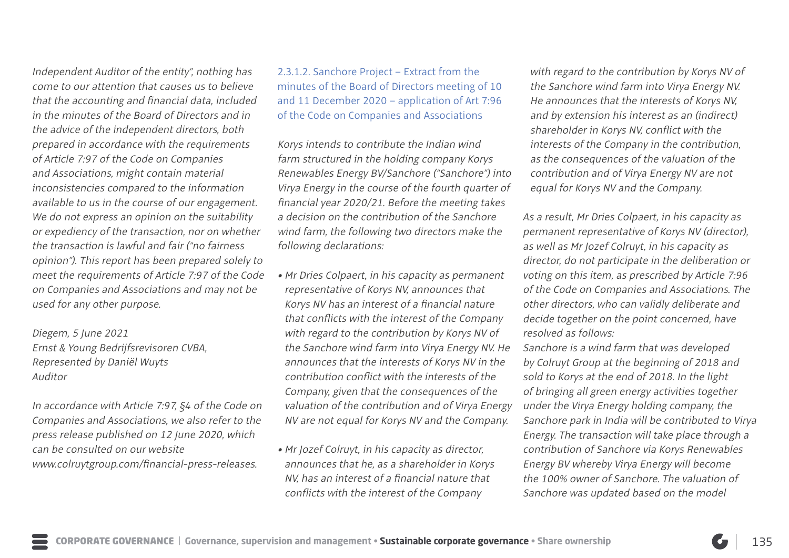Independent Auditor of the entity", nothing has come to our attention that causes us to believe that the accounting and financial data, included in the minutes of the Board of Directors and in the advice of the independent directors, both prepared in accordance with the requirements of Article 7:97 of the Code on Companies and Associations, might contain material inconsistencies compared to the information available to us in the course of our engagement. We do not express an opinion on the suitability or expediency of the transaction, nor on whether the transaction is lawful and fair ("no fairness opinion"). This report has been prepared solely to meet the requirements of Article 7:97 of the Code on Companies and Associations and may not be used for any other purpose.

Diegem, 5 June 2021 Ernst & Young Bedrijfsrevisoren CVBA, Represented by Daniël Wuyts Auditor

In accordance with Article 7:97, §4 of the Code on Companies and Associations, we also refer to the press release published on 12 June 2020, which can be consulted on our website www.colruytgroup.com/financial-press-releases.

2.3.1.2. Sanchore Project – Extract from the minutes of the Board of Directors meeting of 10 and 11 December 2020 – application of Art 7:96 of the Code on Companies and Associations

Korys intends to contribute the Indian wind farm structured in the holding company Korys Renewables Energy BV/Sanchore ("Sanchore") into Virya Energy in the course of the fourth quarter of financial year 2020/21. Before the meeting takes a decision on the contribution of the Sanchore wind farm, the following two directors make the following declarations:

- Mr Dries Colpaert, in his capacity as permanent representative of Korys NV, announces that Korys NV has an interest of a financial nature that conflicts with the interest of the Company with regard to the contribution by Korys NV of the Sanchore wind farm into Virya Energy NV. He announces that the interests of Korys NV in the contribution conflict with the interests of the Company, given that the consequences of the valuation of the contribution and of Virya Energy NV are not equal for Korys NV and the Company.
- Mr Jozef Colruyt, in his capacity as director, announces that he, as a shareholder in Korys NV, has an interest of a financial nature that conflicts with the interest of the Company

with regard to the contribution by Korys NV of the Sanchore wind farm into Virya Energy NV. He announces that the interests of Korys NV, and by extension his interest as an (indirect) shareholder in Korys NV, conflict with the interests of the Company in the contribution, as the consequences of the valuation of the contribution and of Virya Energy NV are not equal for Korys NV and the Company.

As a result, Mr Dries Colpaert, in his capacity as permanent representative of Korys NV (director), as well as Mr Jozef Colruyt, in his capacity as director, do not participate in the deliberation or voting on this item, as prescribed by Article 7:96 of the Code on Companies and Associations. The other directors, who can validly deliberate and decide together on the point concerned, have resolved as follows:

Sanchore is a wind farm that was developed by Colruyt Group at the beginning of 2018 and sold to Korys at the end of 2018. In the light of bringing all green energy activities together under the Virya Energy holding company, the Sanchore park in India will be contributed to Virya Energy. The transaction will take place through a contribution of Sanchore via Korys Renewables Energy BV whereby Virya Energy will become the 100% owner of Sanchore. The valuation of Sanchore was updated based on the model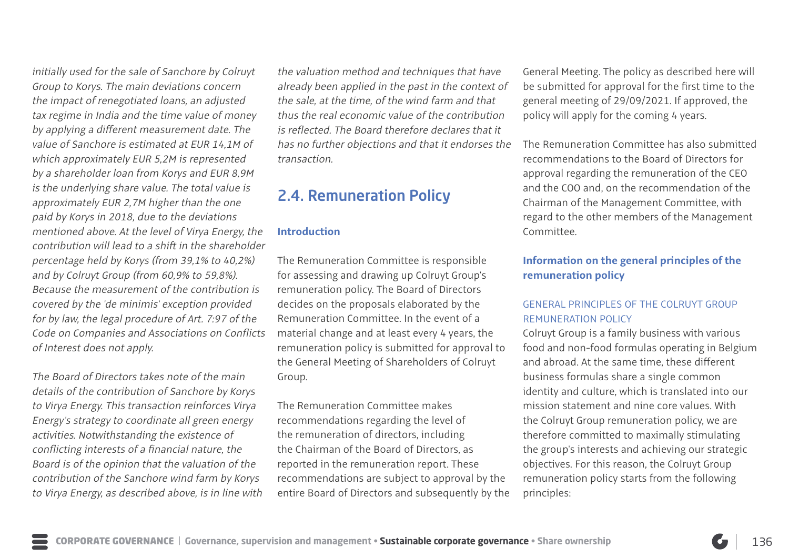initially used for the sale of Sanchore by Colruyt Group to Korys. The main deviations concern the impact of renegotiated loans, an adjusted tax regime in India and the time value of money by applying a different measurement date. The value of Sanchore is estimated at EUR 14,1M of which approximately EUR 5,2M is represented by a shareholder loan from Korys and EUR 8,9M is the underlying share value. The total value is approximately EUR 2,7M higher than the one paid by Korys in 2018, due to the deviations mentioned above. At the level of Virya Energy, the contribution will lead to a shift in the shareholder percentage held by Korys (from 39,1% to 40,2%) and by Colruyt Group (from 60,9% to 59,8%). Because the measurement of the contribution is covered by the 'de minimis' exception provided for by law, the legal procedure of Art. 7:97 of the Code on Companies and Associations on Conflicts of Interest does not apply.

The Board of Directors takes note of the main details of the contribution of Sanchore by Korys to Virya Energy. This transaction reinforces Virya Energy's strategy to coordinate all green energy activities. Notwithstanding the existence of conflicting interests of a financial nature, the Board is of the opinion that the valuation of the contribution of the Sanchore wind farm by Korys to Virya Energy, as described above, is in line with the valuation method and techniques that have already been applied in the past in the context of the sale, at the time, of the wind farm and that thus the real economic value of the contribution is reflected. The Board therefore declares that it has no further objections and that it endorses the transaction.

## 2.4. Remuneration Policy

### **Introduction**

The Remuneration Committee is responsible for assessing and drawing up Colruyt Group's remuneration policy. The Board of Directors decides on the proposals elaborated by the Remuneration Committee. In the event of a material change and at least every 4 years, the remuneration policy is submitted for approval to the General Meeting of Shareholders of Colruyt Group.

The Remuneration Committee makes recommendations regarding the level of the remuneration of directors, including the Chairman of the Board of Directors, as reported in the remuneration report. These recommendations are subject to approval by the entire Board of Directors and subsequently by the General Meeting. The policy as described here will be submitted for approval for the first time to the general meeting of 29/09/2021. If approved, the policy will apply for the coming 4 years.

The Remuneration Committee has also submitted recommendations to the Board of Directors for approval regarding the remuneration of the CEO and the COO and, on the recommendation of the Chairman of the Management Committee, with regard to the other members of the Management Committee.

## **Information on the general principles of the remuneration policy**

### GENERAL PRINCIPLES OF THE COLRUYT GROUP REMUNERATION POLICY

Colruyt Group is a family business with various food and non-food formulas operating in Belgium and abroad. At the same time, these different business formulas share a single common identity and culture, which is translated into our mission statement and nine core values. With the Colruyt Group remuneration policy, we are therefore committed to maximally stimulating the group's interests and achieving our strategic objectives. For this reason, the Colruyt Group remuneration policy starts from the following principles: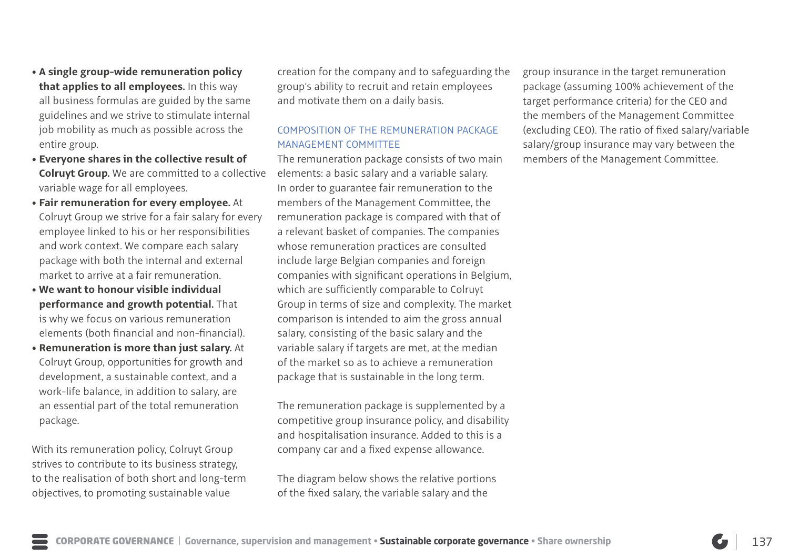- **A single group-wide remuneration policy that applies to all employees.** In this way all business formulas are guided by the same guidelines and we strive to stimulate internal job mobility as much as possible across the entire group.
- **Everyone shares in the collective result of Colruyt Group.** We are committed to a collective variable wage for all employees.
- **Fair remuneration for every employee.** At Colruyt Group we strive for a fair salary for every employee linked to his or her responsibilities and work context. We compare each salary package with both the internal and external market to arrive at a fair remuneration.
- **We want to honour visible individual performance and growth potential.** That is why we focus on various remuneration elements (both financial and non-financial).
- **Remuneration is more than just salary.** At Colruyt Group, opportunities for growth and development, a sustainable context, and a work-life balance, in addition to salary, are an essential part of the total remuneration package.

With its remuneration policy, Colruyt Group strives to contribute to its business strategy, to the realisation of both short and long-term objectives, to promoting sustainable value

creation for the company and to safeguarding the group's ability to recruit and retain employees and motivate them on a daily basis.

## COMPOSITION OF THE REMUNERATION PACKAGE MANAGEMENT COMMITTEE

The remuneration package consists of two main elements: a basic salary and a variable salary. In order to guarantee fair remuneration to the members of the Management Committee, the remuneration package is compared with that of a relevant basket of companies. The companies whose remuneration practices are consulted include large Belgian companies and foreign companies with significant operations in Belgium, which are sufficiently comparable to Colruyt Group in terms of size and complexity. The market comparison is intended to aim the gross annual salary, consisting of the basic salary and the variable salary if targets are met, at the median of the market so as to achieve a remuneration package that is sustainable in the long term.

The remuneration package is supplemented by a competitive group insurance policy, and disability and hospitalisation insurance. Added to this is a company car and a fixed expense allowance.

The diagram below shows the relative portions of the fixed salary, the variable salary and the

group insurance in the target remuneration package (assuming 100% achievement of the target performance criteria) for the CEO and the members of the Management Committee (excluding CEO). The ratio of fixed salary/variable salary/group insurance may vary between the members of the Management Committee.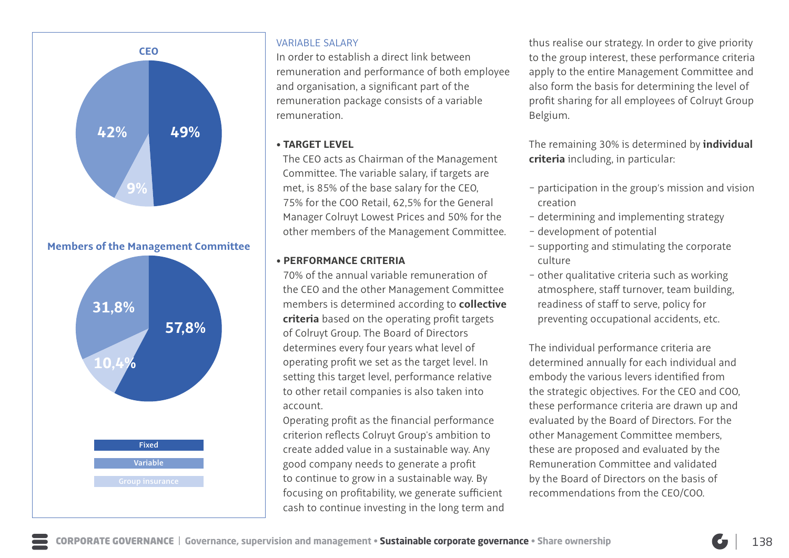

**Members of the Management Committee**



### VARIABLE SALARY

In order to establish a direct link between remuneration and performance of both employee and organisation, a significant part of the remuneration package consists of a variable remuneration.

### • **TARGET LEVEL**

The CEO acts as Chairman of the Management Committee. The variable salary, if targets are met, is 85% of the base salary for the CEO, 75% for the COO Retail, 62,5% for the General Manager Colruyt Lowest Prices and 50% for the other members of the Management Committee.

### • **PERFORMANCE CRITERIA**

70% of the annual variable remuneration of the CEO and the other Management Committee members is determined according to **collective criteria** based on the operating profit targets of Colruyt Group. The Board of Directors determines every four years what level of operating profit we set as the target level. In setting this target level, performance relative to other retail companies is also taken into account.

Operating profit as the financial performance criterion reflects Colruyt Group's ambition to create added value in a sustainable way. Any good company needs to generate a profit to continue to grow in a sustainable way. By focusing on profitability, we generate sufficient cash to continue investing in the long term and thus realise our strategy. In order to give priority to the group interest, these performance criteria apply to the entire Management Committee and also form the basis for determining the level of profit sharing for all employees of Colruyt Group Belgium.

The remaining 30% is determined by **individual criteria** including, in particular:

- − participation in the group's mission and vision creation
- − determining and implementing strategy
- − development of potential
- − supporting and stimulating the corporate culture
- − other qualitative criteria such as working atmosphere, staff turnover, team building, readiness of staff to serve, policy for preventing occupational accidents, etc.

The individual performance criteria are determined annually for each individual and embody the various levers identified from the strategic objectives. For the CEO and COO, these performance criteria are drawn up and evaluated by the Board of Directors. For the other Management Committee members, these are proposed and evaluated by the Remuneration Committee and validated by the Board of Directors on the basis of recommendations from the CEO/COO.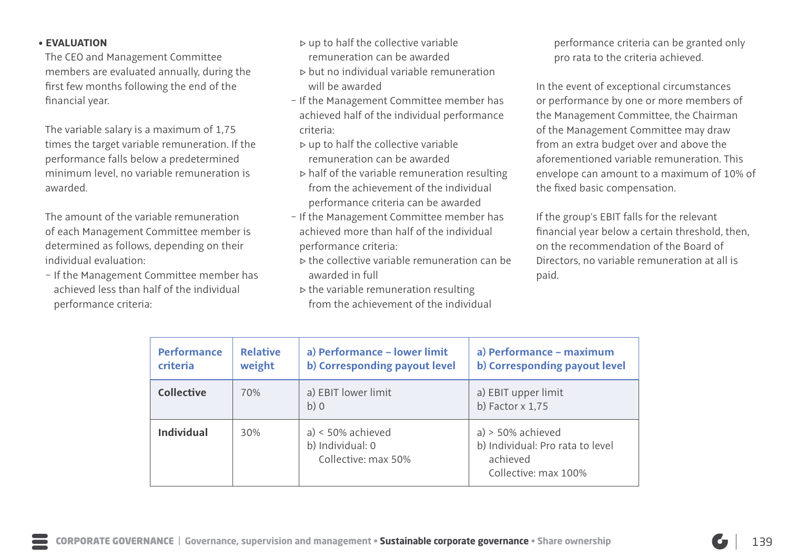### • **EVALUATION**

The CEO and Management Committee members are evaluated annually, during the first few months following the end of the financial year.

The variable salary is a maximum of 1,75 times the target variable remuneration. If the performance falls below a predetermined minimum level, no variable remuneration is awarded.

The amount of the variable remuneration of each Management Committee member is determined as follows, depending on their individual evaluation:

− If the Management Committee member has achieved less than half of the individual performance criteria:

- ▷ up to half the collective variable remuneration can be awarded
- ▷ but no individual variable remuneration will be awarded
- − If the Management Committee member has achieved half of the individual performance criteria:
- ▷ up to half the collective variable remuneration can be awarded
- $\triangleright$  half of the variable remuneration resulting from the achievement of the individual performance criteria can be awarded
- − If the Management Committee member has achieved more than half of the individual performance criteria:
- ▷ the collective variable remuneration can be awarded in full
- ▷ the variable remuneration resulting from the achievement of the individual

performance criteria can be granted only pro rata to the criteria achieved.

In the event of exceptional circumstances or performance by one or more members of the Management Committee, the Chairman of the Management Committee may draw from an extra budget over and above the aforementioned variable remuneration. This envelope can amount to a maximum of 10% of the fixed basic compensation.

If the group's EBIT falls for the relevant financial year below a certain threshold, then, on the recommendation of the Board of Directors, no variable remuneration at all is paid.

| <b>Performance</b><br>criteria | <b>Relative</b><br>weight | a) Performance - lower limit<br>b) Corresponding payout level  | a) Performance - maximum<br>b) Corresponding payout level                                   |
|--------------------------------|---------------------------|----------------------------------------------------------------|---------------------------------------------------------------------------------------------|
| <b>Collective</b>              | 70%                       | a) EBIT lower limit<br>b)0                                     | a) EBIT upper limit<br>b) Factor $x$ 1,75                                                   |
| <b>Individual</b>              | 30%                       | $a)$ < 50% achieved<br>b) Individual: 0<br>Collective: max 50% | $a)$ > 50% achieved<br>b) Individual: Pro rata to level<br>achieved<br>Collective: max 100% |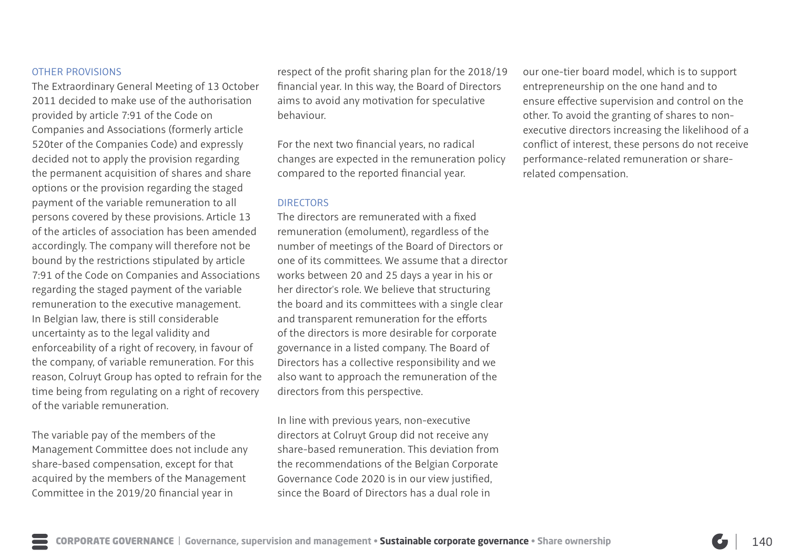### OTHER PROVISIONS

The Extraordinary General Meeting of 13 October 2011 decided to make use of the authorisation provided by article 7:91 of the Code on Companies and Associations (formerly article 520ter of the Companies Code) and expressly decided not to apply the provision regarding the permanent acquisition of shares and share options or the provision regarding the staged payment of the variable remuneration to all persons covered by these provisions. Article 13 of the articles of association has been amended accordingly. The company will therefore not be bound by the restrictions stipulated by article 7:91 of the Code on Companies and Associations regarding the staged payment of the variable remuneration to the executive management. In Belgian law, there is still considerable uncertainty as to the legal validity and enforceability of a right of recovery, in favour of the company, of variable remuneration. For this reason, Colruyt Group has opted to refrain for the time being from regulating on a right of recovery of the variable remuneration.

The variable pay of the members of the Management Committee does not include any share-based compensation, except for that acquired by the members of the Management Committee in the 2019/20 financial year in

respect of the profit sharing plan for the 2018/19 financial year. In this way, the Board of Directors aims to avoid any motivation for speculative behaviour.

For the next two financial years, no radical changes are expected in the remuneration policy compared to the reported financial year.

### DIRECTORS

The directors are remunerated with a fixed remuneration (emolument), regardless of the number of meetings of the Board of Directors or one of its committees. We assume that a director works between 20 and 25 days a year in his or her director's role. We believe that structuring the board and its committees with a single clear and transparent remuneration for the efforts of the directors is more desirable for corporate governance in a listed company. The Board of Directors has a collective responsibility and we also want to approach the remuneration of the directors from this perspective.

In line with previous years, non-executive directors at Colruyt Group did not receive any share-based remuneration. This deviation from the recommendations of the Belgian Corporate Governance Code 2020 is in our view justified, since the Board of Directors has a dual role in

our one-tier board model, which is to support entrepreneurship on the one hand and to ensure effective supervision and control on the other. To avoid the granting of shares to nonexecutive directors increasing the likelihood of a conflict of interest, these persons do not receive performance-related remuneration or sharerelated compensation.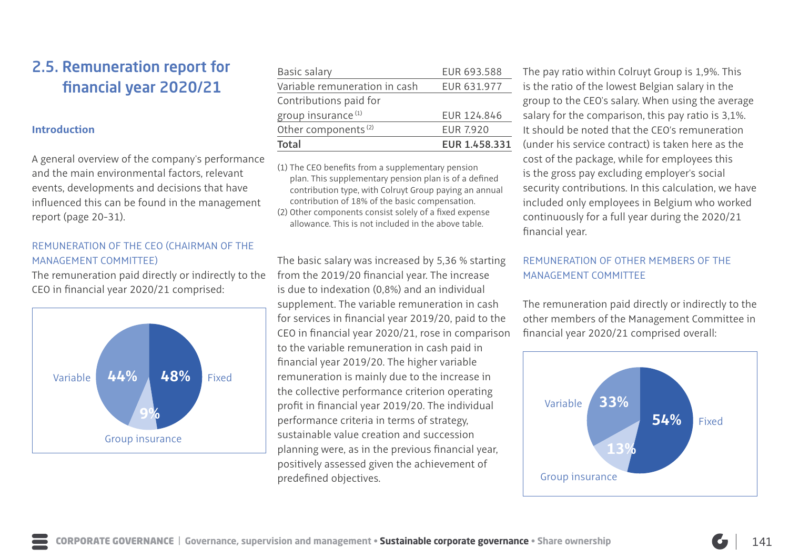# 2.5. Remuneration report for financial year 2020/21

### **Introduction**

A general overview of the company's performance and the main environmental factors, relevant events, developments and decisions that have influenced this can be found in the management report (page 20-31).

### REMUNERATION OF THE CEO (CHAIRMAN OF THE MANAGEMENT COMMITTEE)

The remuneration paid directly or indirectly to the CEO in financial year 2020/21 comprised:



| <b>Total</b>                    | EUR 1.458.331    |
|---------------------------------|------------------|
| Other components <sup>(2)</sup> | <b>EUR 7.920</b> |
| group insurance <sup>(1)</sup>  | EUR 124.846      |
| Contributions paid for          |                  |
| Variable remuneration in cash   | EUR 631.977      |
| Basic salary                    | EUR 693.588      |
|                                 |                  |

(1) The CEO benefits from a supplementary pension plan. This supplementary pension plan is of a defined contribution type, with Colruyt Group paying an annual contribution of 18% of the basic compensation. (2) Other components consist solely of a fixed expense

allowance. This is not included in the above table.

The basic salary was increased by 5,36 % starting from the 2019/20 financial year. The increase is due to indexation (0,8%) and an individual supplement. The variable remuneration in cash for services in financial year 2019/20, paid to the CEO in financial year 2020/21, rose in comparison to the variable remuneration in cash paid in financial year 2019/20. The higher variable remuneration is mainly due to the increase in the collective performance criterion operating profit in financial year 2019/20. The individual performance criteria in terms of strategy, sustainable value creation and succession planning were, as in the previous financial year, positively assessed given the achievement of predefined objectives.

The pay ratio within Colruyt Group is 1,9%. This is the ratio of the lowest Belgian salary in the group to the CEO's salary. When using the average salary for the comparison, this pay ratio is 3,1%. It should be noted that the CEO's remuneration (under his service contract) is taken here as the cost of the package, while for employees this is the gross pay excluding employer's social security contributions. In this calculation, we have included only employees in Belgium who worked continuously for a full year during the 2020/21 financial year.

## REMUNERATION OF OTHER MEMBERS OF THE MANAGEMENT COMMITTEE

The remuneration paid directly or indirectly to the other members of the Management Committee in financial year 2020/21 comprised overall:

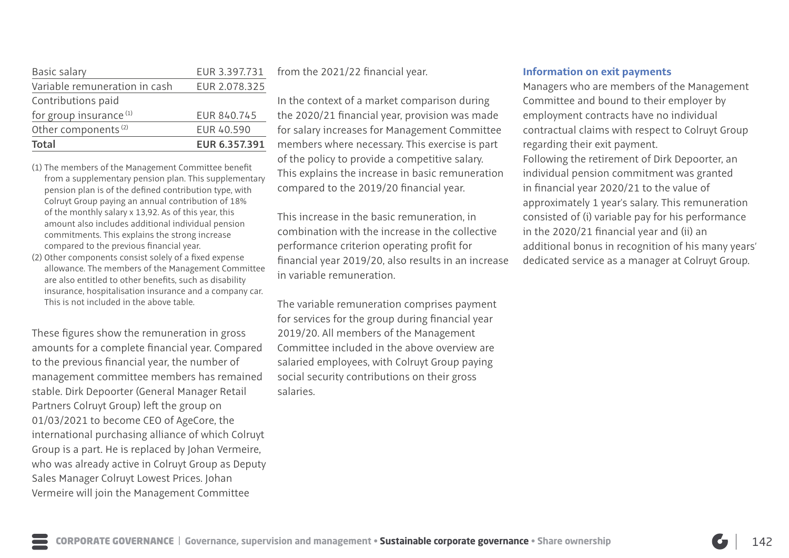| Basic salary                       | EUR 3.397.731 |
|------------------------------------|---------------|
| Variable remuneration in cash      | EUR 2.078.325 |
| Contributions paid                 |               |
| for group insurance <sup>(1)</sup> | EUR 840.745   |
| Other components <sup>(2)</sup>    | EUR 40.590    |
| Total                              | EUR 6.357.391 |

- (1) The members of the Management Committee benefit from a supplementary pension plan. This supplementary pension plan is of the defined contribution type, with Colruyt Group paying an annual contribution of 18% of the monthly salary x 13,92. As of this year, this amount also includes additional individual pension commitments. This explains the strong increase compared to the previous financial year.
- (2) Other components consist solely of a fixed expense allowance. The members of the Management Committee are also entitled to other benefits, such as disability insurance, hospitalisation insurance and a company car. This is not included in the above table.

These figures show the remuneration in gross amounts for a complete financial year. Compared to the previous financial year, the number of management committee members has remained stable. Dirk Depoorter (General Manager Retail Partners Colruyt Group) left the group on 01/03/2021 to become CEO of AgeCore, the international purchasing alliance of which Colruyt Group is a part. He is replaced by Johan Vermeire, who was already active in Colruyt Group as Deputy Sales Manager Colruyt Lowest Prices. Johan Vermeire will join the Management Committee

from the 2021/22 financial year.

In the context of a market comparison during the 2020/21 financial year, provision was made for salary increases for Management Committee members where necessary. This exercise is part of the policy to provide a competitive salary. This explains the increase in basic remuneration compared to the 2019/20 financial year.

This increase in the basic remuneration, in combination with the increase in the collective performance criterion operating profit for financial year 2019/20, also results in an increase in variable remuneration.

The variable remuneration comprises payment for services for the group during financial year 2019/20. All members of the Management Committee included in the above overview are salaried employees, with Colruyt Group paying social security contributions on their gross salaries.

### **Information on exit payments**

Managers who are members of the Management Committee and bound to their employer by employment contracts have no individual contractual claims with respect to Colruyt Group regarding their exit payment.

Following the retirement of Dirk Depoorter, an individual pension commitment was granted in financial year 2020/21 to the value of approximately 1 year's salary. This remuneration consisted of (i) variable pay for his performance in the 2020/21 financial year and (ii) an additional bonus in recognition of his many years' dedicated service as a manager at Colruyt Group.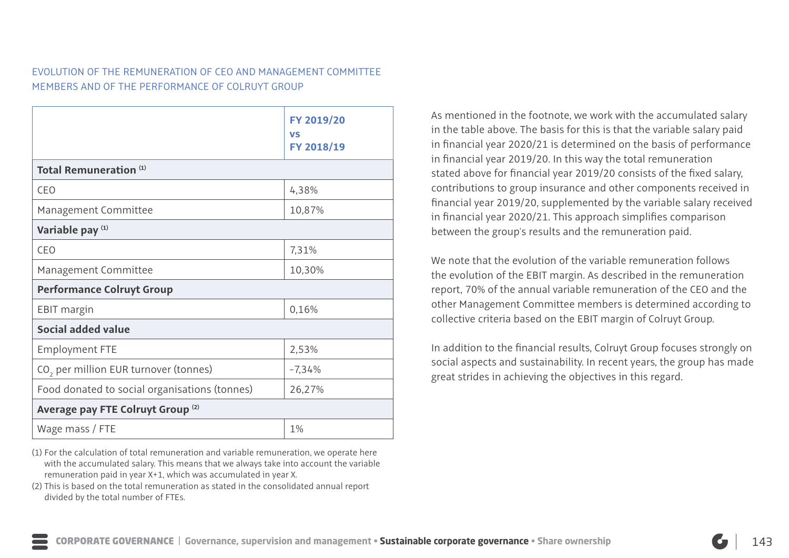## EVOLUTION OF THE REMUNERATION OF CEO AND MANAGEMENT COMMITTEE MEMBERS AND OF THE PERFORMANCE OF COLRUYT GROUP

|                                                   | FY 2019/20<br><b>VS</b><br>FY 2018/19 |
|---------------------------------------------------|---------------------------------------|
| Total Remuneration <sup>(1)</sup>                 |                                       |
| CEO                                               | 4,38%                                 |
| Management Committee                              | 10,87%                                |
| Variable pay (1)                                  |                                       |
| CEO                                               | 7,31%                                 |
| Management Committee                              | 10,30%                                |
| <b>Performance Colruyt Group</b>                  |                                       |
| <b>EBIT margin</b>                                | 0,16%                                 |
| Social added value                                |                                       |
| <b>Employment FTE</b>                             | 2,53%                                 |
| CO <sub>2</sub> per million EUR turnover (tonnes) | $-7,34%$                              |
| Food donated to social organisations (tonnes)     | 26,27%                                |
| Average pay FTE Colruyt Group <sup>(2)</sup>      |                                       |
| Wage mass / FTE                                   | 1%                                    |

(1) For the calculation of total remuneration and variable remuneration, we operate here with the accumulated salary. This means that we always take into account the variable remuneration paid in year X+1, which was accumulated in year X.

(2) This is based on the total remuneration as stated in the consolidated annual report divided by the total number of FTEs.

As mentioned in the footnote, we work with the accumulated salary in the table above. The basis for this is that the variable salary paid in financial year 2020/21 is determined on the basis of performance in financial year 2019/20. In this way the total remuneration stated above for financial year 2019/20 consists of the fixed salary, contributions to group insurance and other components received in financial year 2019/20, supplemented by the variable salary received in financial year 2020/21. This approach simplifies comparison between the group's results and the remuneration paid.

We note that the evolution of the variable remuneration follows the evolution of the EBIT margin. As described in the remuneration report, 70% of the annual variable remuneration of the CEO and the other Management Committee members is determined according to collective criteria based on the EBIT margin of Colruyt Group.

In addition to the financial results, Colruyt Group focuses strongly on social aspects and sustainability. In recent years, the group has made great strides in achieving the objectives in this regard.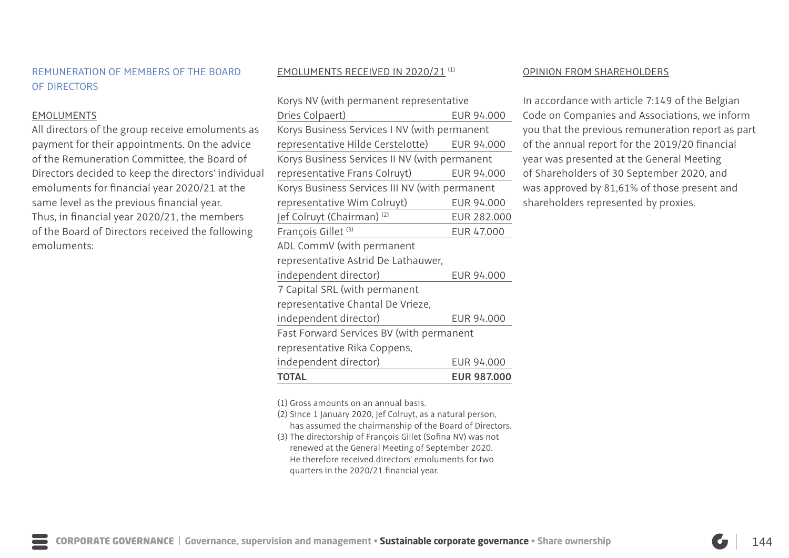### REMUNERATION OF MEMBERS OF THE BOARD OF DIRECTORS

### EMOLUMENTS

All directors of the group receive emoluments as payment for their appointments. On the advice of the Remuneration Committee, the Board of Directors decided to keep the directors' individual emoluments for financial year 2020/21 at the same level as the previous financial year. Thus, in financial year 2020/21, the members of the Board of Directors received the following emoluments:

### EMOLUMENTS RECEIVED IN 2020/21 (1)

| <b>TOTAL</b>                                   | <b>EUR 987.000</b> |  |  |  |
|------------------------------------------------|--------------------|--|--|--|
| independent director)                          | EUR 94.000         |  |  |  |
| representative Rika Coppens,                   |                    |  |  |  |
| Fast Forward Services BV (with permanent       |                    |  |  |  |
| independent director)                          | EUR 94.000         |  |  |  |
| representative Chantal De Vrieze,              |                    |  |  |  |
| 7 Capital SRL (with permanent                  |                    |  |  |  |
| independent director)                          | EUR 94.000         |  |  |  |
| representative Astrid De Lathauwer,            |                    |  |  |  |
| ADL CommV (with permanent                      |                    |  |  |  |
| François Gillet <sup>(3)</sup>                 | EUR 47.000         |  |  |  |
| Jef Colruyt (Chairman) <sup>(2)</sup>          | EUR 282.000        |  |  |  |
| representative Wim Colruyt)                    | EUR 94.000         |  |  |  |
| Korys Business Services III NV (with permanent |                    |  |  |  |
| representative Frans Colruyt)                  | EUR 94.000         |  |  |  |
| Korys Business Services II NV (with permanent  |                    |  |  |  |
| representative Hilde Cerstelotte)              | EUR 94.000         |  |  |  |
| Korys Business Services I NV (with permanent   |                    |  |  |  |
| Dries Colpaert)                                | EUR 94.000         |  |  |  |
| Korys NV (with permanent representative        |                    |  |  |  |

### OPINION FROM SHAREHOLDERS

In accordance with article 7:149 of the Belgian Code on Companies and Associations, we inform you that the previous remuneration report as part of the annual report for the 2019/20 financial year was presented at the General Meeting of Shareholders of 30 September 2020, and was approved by 81,61% of those present and shareholders represented by proxies.

(1) Gross amounts on an annual basis.

- (2) Since 1 January 2020, Jef Colruyt, as a natural person,
	- has assumed the chairmanship of the Board of Directors.
- (3) The directorship of François Gillet (Sofina NV) was not renewed at the General Meeting of September 2020. He therefore received directors' emoluments for two quarters in the 2020/21 financial year.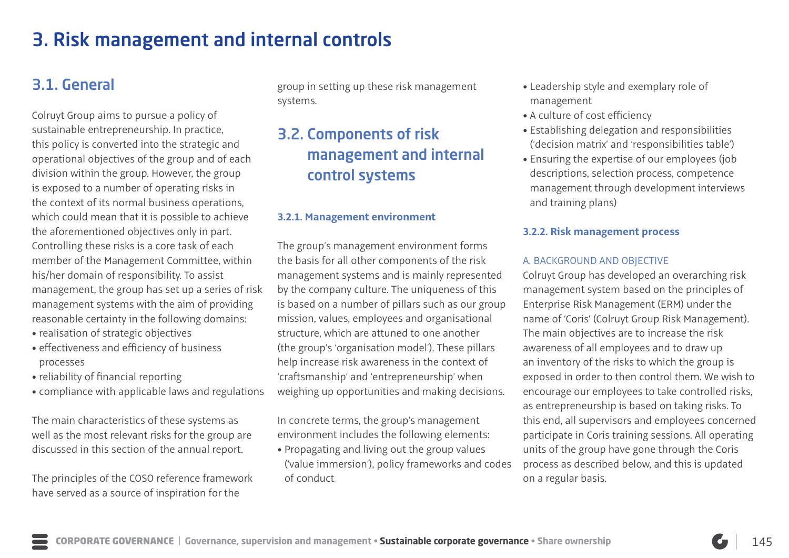# 3. Risk management and internal controls

# 3.1. General

Colruyt Group aims to pursue a policy of sustainable entrepreneurship. In practice, this policy is converted into the strategic and operational objectives of the group and of each division within the group. However, the group is exposed to a number of operating risks in the context of its normal business operations, which could mean that it is possible to achieve the aforementioned objectives only in part. Controlling these risks is a core task of each member of the Management Committee, within his/her domain of responsibility. To assist management, the group has set up a series of risk management systems with the aim of providing reasonable certainty in the following domains:

- realisation of strategic objectives
- effectiveness and efficiency of business processes
- reliability of financial reporting
- compliance with applicable laws and regulations

The main characteristics of these systems as well as the most relevant risks for the group are discussed in this section of the annual report.

The principles of the COSO reference framework have served as a source of inspiration for the

group in setting up these risk management systems.

# 3.2. Components of risk management and internal control systems

### **3.2.1. Management environment**

The group's management environment forms the basis for all other components of the risk management systems and is mainly represented by the company culture. The uniqueness of this is based on a number of pillars such as our group mission, values, employees and organisational structure, which are attuned to one another (the group's 'organisation model'). These pillars help increase risk awareness in the context of 'craftsmanship' and 'entrepreneurship' when weighing up opportunities and making decisions.

In concrete terms, the group's management environment includes the following elements:

• Propagating and living out the group values ('value immersion'), policy frameworks and codes of conduct

- Leadership style and exemplary role of management
- A culture of cost efficiency
- Establishing delegation and responsibilities ('decision matrix' and 'responsibilities table')
- Ensuring the expertise of our employees (job descriptions, selection process, competence management through development interviews and training plans)

### **3.2.2. Risk management process**

### A. BACKGROUND AND OBJECTIVE

Colruyt Group has developed an overarching risk management system based on the principles of Enterprise Risk Management (ERM) under the name of 'Coris' (Colruyt Group Risk Management). The main objectives are to increase the risk awareness of all employees and to draw up an inventory of the risks to which the group is exposed in order to then control them. We wish to encourage our employees to take controlled risks, as entrepreneurship is based on taking risks. To this end, all supervisors and employees concerned participate in Coris training sessions. All operating units of the group have gone through the Coris process as described below, and this is updated on a regular basis.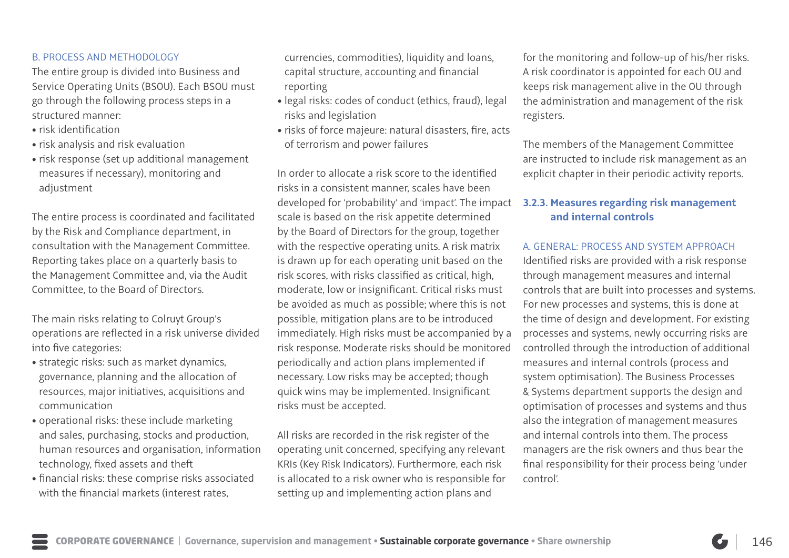### B. PROCESS AND METHODOLOGY

The entire group is divided into Business and Service Operating Units (BSOU). Each BSOU must go through the following process steps in a structured manner:

- risk identification
- risk analysis and risk evaluation
- risk response (set up additional management measures if necessary), monitoring and adjustment

The entire process is coordinated and facilitated by the Risk and Compliance department, in consultation with the Management Committee. Reporting takes place on a quarterly basis to the Management Committee and, via the Audit Committee, to the Board of Directors.

The main risks relating to Colruyt Group's operations are reflected in a risk universe divided into five categories:

- strategic risks: such as market dynamics, governance, planning and the allocation of resources, major initiatives, acquisitions and communication
- operational risks: these include marketing and sales, purchasing, stocks and production, human resources and organisation, information technology, fixed assets and theft
- financial risks: these comprise risks associated with the financial markets (interest rates,

currencies, commodities), liquidity and loans, capital structure, accounting and financial reporting

- legal risks: codes of conduct (ethics, fraud), legal risks and legislation
- risks of force majeure: natural disasters, fire, acts of terrorism and power failures

In order to allocate a risk score to the identified risks in a consistent manner, scales have been developed for 'probability' and 'impact'. The impact scale is based on the risk appetite determined by the Board of Directors for the group, together with the respective operating units. A risk matrix is drawn up for each operating unit based on the risk scores, with risks classified as critical, high, moderate, low or insignificant. Critical risks must be avoided as much as possible; where this is not possible, mitigation plans are to be introduced immediately. High risks must be accompanied by a risk response. Moderate risks should be monitored periodically and action plans implemented if necessary. Low risks may be accepted; though quick wins may be implemented. Insignificant risks must be accepted.

All risks are recorded in the risk register of the operating unit concerned, specifying any relevant KRIs (Key Risk Indicators). Furthermore, each risk is allocated to a risk owner who is responsible for setting up and implementing action plans and

for the monitoring and follow-up of his/her risks. A risk coordinator is appointed for each OU and keeps risk management alive in the OU through the administration and management of the risk registers.

The members of the Management Committee are instructed to include risk management as an explicit chapter in their periodic activity reports.

### **3.2.3. Measures regarding risk management and internal controls**

### A. GENERAL: PROCESS AND SYSTEM APPROACH

Identified risks are provided with a risk response through management measures and internal controls that are built into processes and systems. For new processes and systems, this is done at the time of design and development. For existing processes and systems, newly occurring risks are controlled through the introduction of additional measures and internal controls (process and system optimisation). The Business Processes & Systems department supports the design and optimisation of processes and systems and thus also the integration of management measures and internal controls into them. The process managers are the risk owners and thus bear the final responsibility for their process being 'under control'.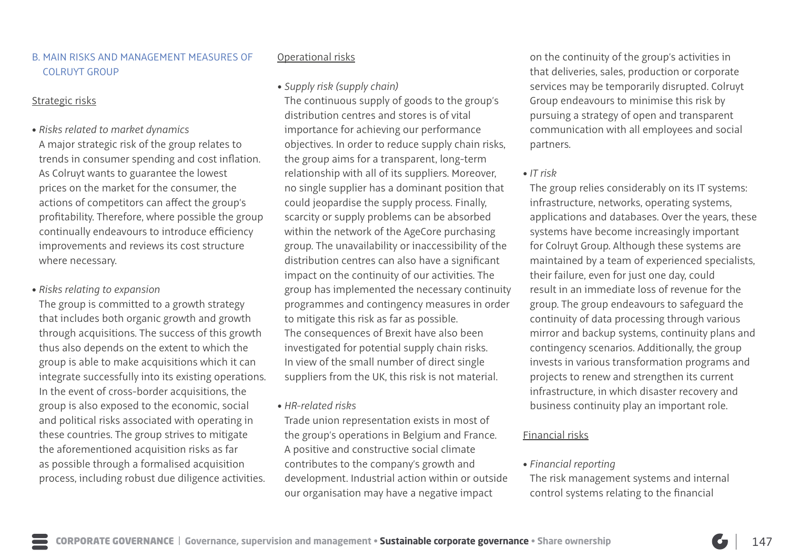### B. MAIN RISKS AND MANAGEMENT MEASURES OF COLRUYT GROUP

### Strategic risks

• *Risks related to market dynamics* A major strategic risk of the group relates to trends in consumer spending and cost inflation. As Colruyt wants to guarantee the lowest prices on the market for the consumer, the actions of competitors can affect the group's profitability. Therefore, where possible the group continually endeavours to introduce efficiency improvements and reviews its cost structure where necessary.

### • *Risks relating to expansion*

The group is committed to a growth strategy that includes both organic growth and growth through acquisitions. The success of this growth thus also depends on the extent to which the group is able to make acquisitions which it can integrate successfully into its existing operations. In the event of cross-border acquisitions, the group is also exposed to the economic, social and political risks associated with operating in these countries. The group strives to mitigate the aforementioned acquisition risks as far as possible through a formalised acquisition process, including robust due diligence activities.

### Operational risks

### • *Supply risk (supply chain)*

The continuous supply of goods to the group's distribution centres and stores is of vital importance for achieving our performance objectives. In order to reduce supply chain risks, the group aims for a transparent, long-term relationship with all of its suppliers. Moreover, no single supplier has a dominant position that could jeopardise the supply process. Finally, scarcity or supply problems can be absorbed within the network of the AgeCore purchasing group. The unavailability or inaccessibility of the distribution centres can also have a significant impact on the continuity of our activities. The group has implemented the necessary continuity programmes and contingency measures in order to mitigate this risk as far as possible. The consequences of Brexit have also been investigated for potential supply chain risks. In view of the small number of direct single suppliers from the UK, this risk is not material.

• *HR-related risks*

Trade union representation exists in most of the group's operations in Belgium and France. A positive and constructive social climate contributes to the company's growth and development. Industrial action within or outside our organisation may have a negative impact

on the continuity of the group's activities in that deliveries, sales, production or corporate services may be temporarily disrupted. Colruyt Group endeavours to minimise this risk by pursuing a strategy of open and transparent communication with all employees and social partners.

### • *IT risk*

The group relies considerably on its IT systems: infrastructure, networks, operating systems, applications and databases. Over the years, these systems have become increasingly important for Colruyt Group. Although these systems are maintained by a team of experienced specialists, their failure, even for just one day, could result in an immediate loss of revenue for the group. The group endeavours to safeguard the continuity of data processing through various mirror and backup systems, continuity plans and contingency scenarios. Additionally, the group invests in various transformation programs and projects to renew and strengthen its current infrastructure, in which disaster recovery and business continuity play an important role.

### Financial risks

### • *Financial reporting*

The risk management systems and internal control systems relating to the financial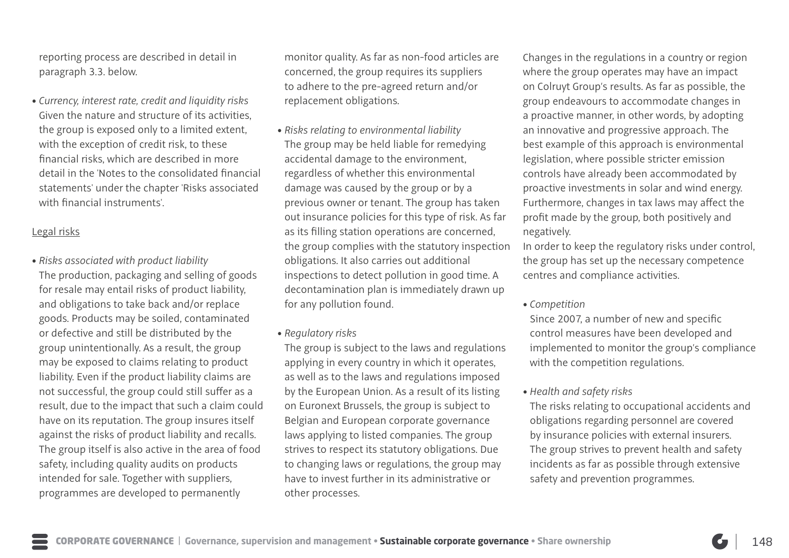reporting process are described in detail in paragraph 3.3. below.

• *Currency, interest rate, credit and liquidity risks* Given the nature and structure of its activities, the group is exposed only to a limited extent, with the exception of credit risk, to these financial risks, which are described in more detail in the 'Notes to the consolidated financial statements' under the chapter 'Risks associated with financial instruments'.

### Legal risks

• *Risks associated with product liability*  The production, packaging and selling of goods for resale may entail risks of product liability, and obligations to take back and/or replace goods. Products may be soiled, contaminated or defective and still be distributed by the group unintentionally. As a result, the group may be exposed to claims relating to product liability. Even if the product liability claims are not successful, the group could still suffer as a result, due to the impact that such a claim could have on its reputation. The group insures itself against the risks of product liability and recalls. The group itself is also active in the area of food safety, including quality audits on products intended for sale. Together with suppliers, programmes are developed to permanently

monitor quality. As far as non-food articles are concerned, the group requires its suppliers to adhere to the pre-agreed return and/or replacement obligations.

- *Risks relating to environmental liability*  The group may be held liable for remedying accidental damage to the environment, regardless of whether this environmental damage was caused by the group or by a previous owner or tenant. The group has taken out insurance policies for this type of risk. As far as its filling station operations are concerned, the group complies with the statutory inspection obligations. It also carries out additional inspections to detect pollution in good time. A decontamination plan is immediately drawn up for any pollution found.
- *Regulatory risks*

The group is subject to the laws and regulations applying in every country in which it operates, as well as to the laws and regulations imposed by the European Union. As a result of its listing on Euronext Brussels, the group is subject to Belgian and European corporate governance laws applying to listed companies. The group strives to respect its statutory obligations. Due to changing laws or regulations, the group may have to invest further in its administrative or other processes.

Changes in the regulations in a country or region where the group operates may have an impact on Colruyt Group's results. As far as possible, the group endeavours to accommodate changes in a proactive manner, in other words, by adopting an innovative and progressive approach. The best example of this approach is environmental legislation, where possible stricter emission controls have already been accommodated by proactive investments in solar and wind energy. Furthermore, changes in tax laws may affect the profit made by the group, both positively and negatively.

In order to keep the regulatory risks under control, the group has set up the necessary competence centres and compliance activities.

### • *Competition*

Since 2007, a number of new and specific control measures have been developed and implemented to monitor the group's compliance with the competition regulations.

### • *Health and safety risks*

The risks relating to occupational accidents and obligations regarding personnel are covered by insurance policies with external insurers. The group strives to prevent health and safety incidents as far as possible through extensive safety and prevention programmes.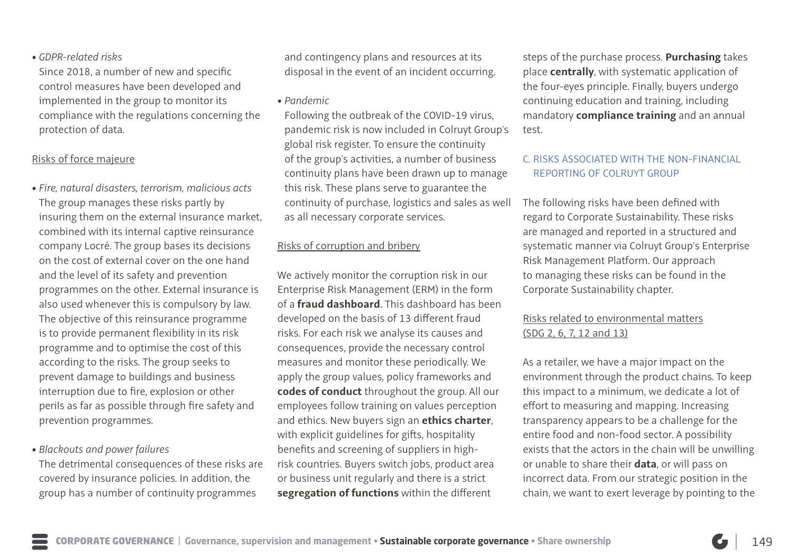### • *GDPR-related risks*

Since 2018, a number of new and specific control measures have been developed and implemented in the group to monitor its compliance with the regulations concerning the protection of data.

### Risks of force majeure

• *Fire, natural disasters, terrorism, malicious acts* The group manages these risks partly by insuring them on the external insurance market, combined with its internal captive reinsurance company Locré. The group bases its decisions on the cost of external cover on the one hand and the level of its safety and prevention programmes on the other. External insurance is also used whenever this is compulsory by law. The objective of this reinsurance programme is to provide permanent flexibility in its risk programme and to optimise the cost of this according to the risks. The group seeks to prevent damage to buildings and business interruption due to fire, explosion or other perils as far as possible through fire safety and prevention programmes.

### • *Blackouts and power failures*

The detrimental consequences of these risks are covered by insurance policies. In addition, the group has a number of continuity programmes

and contingency plans and resources at its disposal in the event of an incident occurring.

• *Pandemic*

Following the outbreak of the COVID-19 virus, pandemic risk is now included in Colruyt Group's global risk register. To ensure the continuity of the group's activities, a number of business continuity plans have been drawn up to manage this risk. These plans serve to guarantee the continuity of purchase, logistics and sales as well as all necessary corporate services.

## Risks of corruption and bribery

We actively monitor the corruption risk in our Enterprise Risk Management (ERM) in the form of a **fraud dashboard**. This dashboard has been developed on the basis of 13 different fraud risks. For each risk we analyse its causes and consequences, provide the necessary control measures and monitor these periodically. We apply the group values, policy frameworks and **codes of conduct** throughout the group. All our employees follow training on values perception and ethics. New buyers sign an **ethics charter**, with explicit guidelines for gifts, hospitality benefits and screening of suppliers in highrisk countries. Buyers switch jobs, product area or business unit regularly and there is a strict **segregation of functions** within the different

steps of the purchase process. **Purchasing** takes place **centrally**, with systematic application of the four-eyes principle. Finally, buyers undergo continuing education and training, including mandatory **compliance training** and an annual test.

## C. RISKS ASSOCIATED WITH THE NON-FINANCIAL REPORTING OF COLRUYT GROUP

The following risks have been defined with regard to Corporate Sustainability. These risks are managed and reported in a structured and systematic manner via Colruyt Group's Enterprise Risk Management Platform. Our approach to managing these risks can be found in the Corporate Sustainability chapter.

## Risks related to environmental matters (SDG 2, 6, 7, 12 and 13)

As a retailer, we have a major impact on the environment through the product chains. To keep this impact to a minimum, we dedicate a lot of effort to measuring and mapping. Increasing transparency appears to be a challenge for the entire food and non-food sector. A possibility exists that the actors in the chain will be unwilling or unable to share their **data**, or will pass on incorrect data. From our strategic position in the chain, we want to exert leverage by pointing to the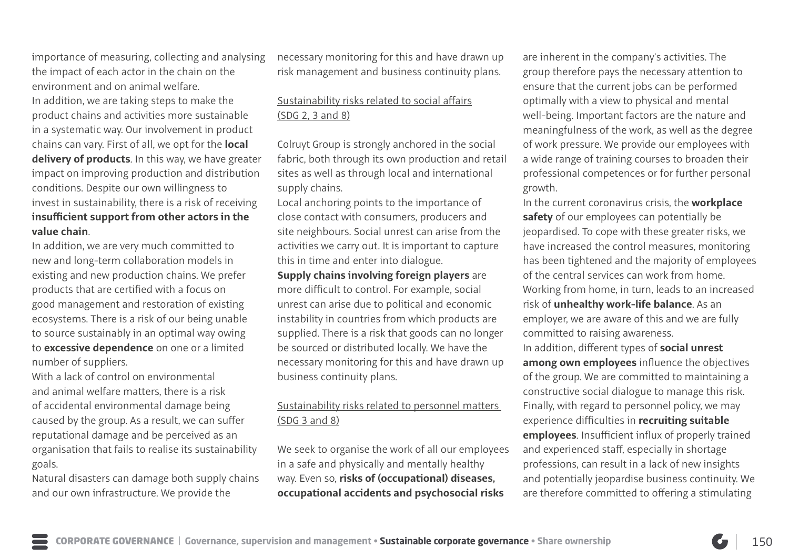importance of measuring, collecting and analysing the impact of each actor in the chain on the environment and on animal welfare.

In addition, we are taking steps to make the product chains and activities more sustainable in a systematic way. Our involvement in product chains can vary. First of all, we opt for the **local delivery of products**. In this way, we have greater impact on improving production and distribution conditions. Despite our own willingness to invest in sustainability, there is a risk of receiving **insufficient support from other actors in the value chain**.

In addition, we are very much committed to new and long-term collaboration models in existing and new production chains. We prefer products that are certified with a focus on good management and restoration of existing ecosystems. There is a risk of our being unable to source sustainably in an optimal way owing to **excessive dependence** on one or a limited number of suppliers.

With a lack of control on environmental and animal welfare matters, there is a risk of accidental environmental damage being caused by the group. As a result, we can suffer reputational damage and be perceived as an organisation that fails to realise its sustainability goals.

Natural disasters can damage both supply chains and our own infrastructure. We provide the

necessary monitoring for this and have drawn up risk management and business continuity plans.

## Sustainability risks related to social affairs (SDG 2, 3 and 8)

Colruyt Group is strongly anchored in the social fabric, both through its own production and retail sites as well as through local and international supply chains.

Local anchoring points to the importance of close contact with consumers, producers and site neighbours. Social unrest can arise from the activities we carry out. It is important to capture this in time and enter into dialogue.

**Supply chains involving foreign players** are more difficult to control. For example, social unrest can arise due to political and economic instability in countries from which products are supplied. There is a risk that goods can no longer be sourced or distributed locally. We have the necessary monitoring for this and have drawn up business continuity plans.

## Sustainability risks related to personnel matters (SDG 3 and 8)

We seek to organise the work of all our employees in a safe and physically and mentally healthy way. Even so, **risks of (occupational) diseases, occupational accidents and psychosocial risks**

are inherent in the company's activities. The group therefore pays the necessary attention to ensure that the current jobs can be performed optimally with a view to physical and mental well-being. Important factors are the nature and meaningfulness of the work, as well as the degree of work pressure. We provide our employees with a wide range of training courses to broaden their professional competences or for further personal growth.

In the current coronavirus crisis, the **workplace safety** of our employees can potentially be jeopardised. To cope with these greater risks, we have increased the control measures, monitoring has been tightened and the majority of employees of the central services can work from home. Working from home, in turn, leads to an increased risk of **unhealthy work-life balance**. As an employer, we are aware of this and we are fully committed to raising awareness. In addition, different types of **social unrest among own employees** influence the objectives of the group. We are committed to maintaining a constructive social dialogue to manage this risk. Finally, with regard to personnel policy, we may experience difficulties in **recruiting suitable employees**. Insufficient influx of properly trained and experienced staff, especially in shortage professions, can result in a lack of new insights and potentially jeopardise business continuity. We are therefore committed to offering a stimulating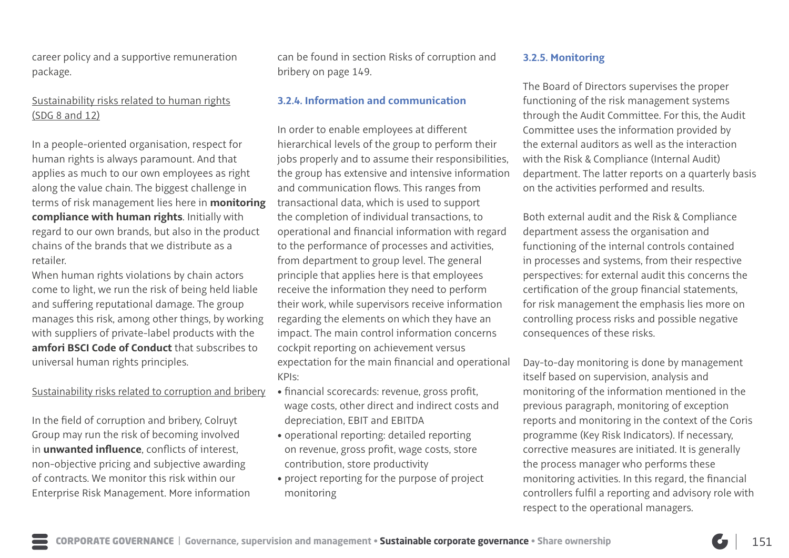career policy and a supportive remuneration package.

## Sustainability risks related to human rights (SDG 8 and 12)

In a people-oriented organisation, respect for human rights is always paramount. And that applies as much to our own employees as right along the value chain. The biggest challenge in terms of risk management lies here in **monitoring compliance with human rights**. Initially with regard to our own brands, but also in the product chains of the brands that we distribute as a retailer.

When human rights violations by chain actors come to light, we run the risk of being held liable and suffering reputational damage. The group manages this risk, among other things, by working with suppliers of private-label products with the **amfori BSCI Code of Conduct** that subscribes to universal human rights principles.

### Sustainability risks related to corruption and bribery

In the field of corruption and bribery, Colruyt Group may run the risk of becoming involved in **unwanted influence**, conflicts of interest, non-objective pricing and subjective awarding of contracts. We monitor this risk within our Enterprise Risk Management. More information can be found in section Risks of corruption and bribery on page 149.

### **3.2.4. Information and communication**

In order to enable employees at different hierarchical levels of the group to perform their jobs properly and to assume their responsibilities, the group has extensive and intensive information and communication flows. This ranges from transactional data, which is used to support the completion of individual transactions, to operational and financial information with regard to the performance of processes and activities, from department to group level. The general principle that applies here is that employees receive the information they need to perform their work, while supervisors receive information regarding the elements on which they have an impact. The main control information concerns cockpit reporting on achievement versus expectation for the main financial and operational KPIs:

- financial scorecards: revenue, gross profit, wage costs, other direct and indirect costs and depreciation, EBIT and EBITDA
- operational reporting: detailed reporting on revenue, gross profit, wage costs, store contribution, store productivity
- project reporting for the purpose of project monitoring

### **3.2.5. Monitoring**

The Board of Directors supervises the proper functioning of the risk management systems through the Audit Committee. For this, the Audit Committee uses the information provided by the external auditors as well as the interaction with the Risk & Compliance (Internal Audit) department. The latter reports on a quarterly basis on the activities performed and results.

Both external audit and the Risk & Compliance department assess the organisation and functioning of the internal controls contained in processes and systems, from their respective perspectives: for external audit this concerns the certification of the group financial statements, for risk management the emphasis lies more on controlling process risks and possible negative consequences of these risks.

Day-to-day monitoring is done by management itself based on supervision, analysis and monitoring of the information mentioned in the previous paragraph, monitoring of exception reports and monitoring in the context of the Coris programme (Key Risk Indicators). If necessary, corrective measures are initiated. It is generally the process manager who performs these monitoring activities. In this regard, the financial controllers fulfil a reporting and advisory role with respect to the operational managers.